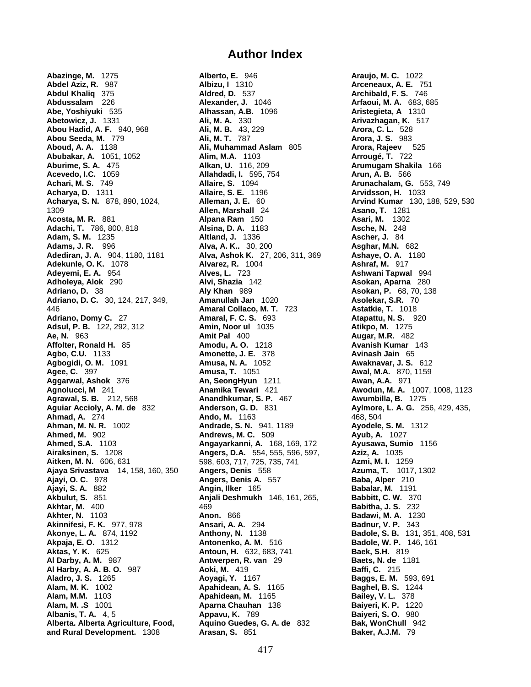**Abazinge, M.** 1275 **Alberto, E.** 946 **Araujo, M. C.** 1022 **Abdel Aziz, R.** 987 **Albizu, I** 1310 **Arceneaux, A. E.** 751 **Abdul Khaliq** 375 **Aldred, D.** 537 **Archibald, F. S.** 746 **Abdussalam** 226 **Alexander, J.** 1046 **Arfaoui, M. A.** 683, 685 **Abe, Yoshiyuki** 535 **Alhassan, A.B.** 1096 **Aristegieta, A** 1310 **Abetowicz, J.** 1331 **Ali, M. A.** 330 **Arivazhagan, K.** 517 **Abou Hadid, A. F.** 940, 968 **Ali, M. B.** 43, 229 **Arora, C. L.** 528 **Abou Seeda, M.** 779 **Ali, M. T.** 787 **Arora, J. S.** 983 **Abubakar, A.** 1051, 1052<br>**Aburime, S. A.** 475 **Acevedo, I.C.** 1059 **Allahdadi, I.** 595, 754 **Arun, A. B.** 566 **Achari, M. S.** 749 **Allaire, S.** 1094 **Arunachalam, G.** 553, 749 **Acharya, D.** 1311 **Allaire, S. E.** 1196 **Arvidsson, H.** 1033 **Acharya, S. N.** 878, 890, 1024, **Alleman, J. E.** 60 **Arvind Kumar** 130, 188, 529, 530 1309 **Allen, Marshall** 24 **Asano, T.** 1281 **Acosta, M. R.** 881 **Alpana Ram** 150 **Asari, M.** 1302 **Adachi, T.** 786, 800, 818 **Alsina, D. A.** 1183 **Adam, S. M.** 1235 **Altland, J.** 1336 **Ascher, J.** 84 **Adams, J. R.** 996 **Alva, A. K..** 30, 200 **Asghar, M.N.** 682 **Adediran, J. A.** 904, 1180, 1181 **Alva, Ashok K.** 27, 206, 311, 369 **Ashaye, O. A.** 1180 **Adekunle, O. K.** 1078 **Alvarez, R.** 1004 **Ashraf, M.** 917 **Adeyemi, E. A.** 954 **Alves, L.** 723 **Ashwani Tapwal** 994 **Adholeya, Alok** 290 **Alvi, Shazia** 142 **Asokan, Aparna** 280 **Adriano, D.** 38 **Aly Khan** 989 **Asokan, P.** 68, 70, 138 **Adriano, D. C.** 30, 124, 217, 349, **Amanullah Jan** 1020 **Asolekar, S.R.** 70 446 **Amaral Collaco, M. T.** 723 **Astatkie, T.** 1018 **Adriano, Domy C.** 27 **Amaral, F. C. S.** 693 **Atapattu, N. S.** 920 **Adsul, P. B.** 122, 292, 312 **Amin, Noor ul** 1035 **Atikpo, M.** 1275 **Ae, N.** 963 **Amit Pal** 400 **Augar, M.R.** 482 **Affolter, Ronald H.** 85 **Amodu, A. O.** 1218 **Avanish Kumar** 143 **Agbo, C.U.** 1133 **Amonette, J. E.** 378 **Avinash Jain** 65 **Agbogidi, O. M.** 1091 **Amusa, N. A.** 1052 **Awaknavar, J. S.** 612 **Agee, C.** 397 **Amusa, T.** 1051 **Awal, M.A.** 870, 1159 **Aggarwal, Ashok** 376 **Agnolucci, M** 241 **Anamika Tewari** 421 **Awodun, M. A.** 1007, 1008, 1123 **Agrawal, S. B.** 212, 568 **Anandhkumar, S. P.** 467 **Awumbilla, B.** 1275 **Aguiar Accioly, A. M. de** 832 **Anderson, G. D.** 831 **Aylmore, L. A. G.** 256, 429, 435, **Ahmad, A.** 274 **Ando, M.** 1163 468, 504 **Ahman, M. N. R.** 1002 **Andrade, S. N.** 941, 1189 **Ayodele, S. M.** 1312 **Ahmed, M.** 902 **Andrews, M. C.** 509 **Ayub, A.** 1027 **Ahmed, S.A.** 1103 **Angayarkanni, A.** 168, 169, 172 **Ayusawa, Sumio** 1156 **Airaksinen, S.** 1208 **Angers, D.A.** 554, 555, 596, 597, **Aziz, A.** 1035 **Aitken, M. N.** 606, 631 598, 603, 717, 725, 735, 741 **Azmi, M. I.** 1259 **Ajaya Srivastava** 14, 158, 160, 350 **Angers, Denis** 558 **Azuma, T.** 1017, 1302 **Ajayi, O. C.** 978 **Angers, Denis A.** 557 **Baba, Alper** 210 **Ajayi, S. A.** 882 **Angin, Ilker** 165 **Babalar, M.** 1191 **Akbulut, S.** 851 **Anjali Deshmukh** 146, 161, 265, **Babbitt, C. W.** 370 **Akhtar, M.** 400 469 **Babitha, J. S.** 232 **Akhter, N.** 1103 **Anon.** 866 **Badawi, M. A.** 1230 **Akinnifesi, F. K.** 977, 978 **Ansari, A. A.** 294 **Badnur, V. P.** 343 **Akonye, L. A.** 874, 1192 **Anthony, N.** 1138 **Badole, S. B.** 131, 351, 408, 531 **Akpaja, E. O.** 1312 **Antonenko, A. M.** 516 **Badole, W. P.** 146, 161 **Aktas, Y. K.** 625 **Antoun, H.** 632, 683, 741 **Baek, S.H.** 819 **Al Darby, A. M.** 987 **Antwerpen, R. van** 29 **Baets, N. de** 1181 **Al Harby, A. A. B. O.** 987 **Aoki, M.** 419 **Baffi, C.** 215 **Aladro, J. S.** 1265 **Aoyagi, Y.** 1167 **Baggs, E. M.** 593, 691 **Alam, M. K.** 1002 **Apahidean, A. S.** 1165 **Baghel, B. S.** 1244 **Alam, M.M.** 1103 **Apahidean, M.** 1165 **Bailey, V. L.** 378 **Albanis, T. A.** 4, 5 **Appavu, K.** 789 **Baiyeri, S. O.** 980 **Alberta. Alberta Agriculture, Food, Aquino Guedes, G. A. de** 832

**Ali, Muhammad Aslam** 805 **Arora, Rajeev 4**<br>**Alim, M.A.** 1103 **Arougé, T.** 722 **Aburime, S. A.** 475 **Alkan, U.** 116, 209 **Arumugam Shakila** 166 **Aparna Chauhan** 138 **and Rural Development.** 1308 **Arasan, S.** 851 **Baker, A.J.M.** 79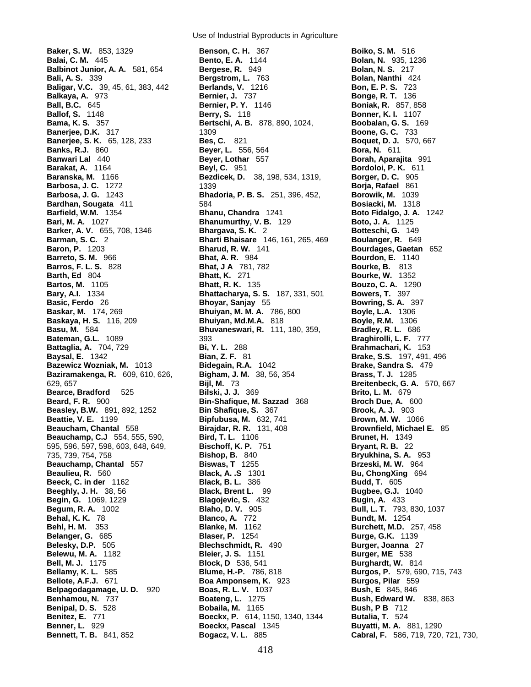**Baker, S. W.** 853, 1329 **Benson, C. H.** 367 **Boiko, S. M.** 516 **Banks, R.J.** 860 **Beyer, L.** 556, 564 **Baskar, M.** 174, 269 **Bhuiyan, M. M. A.** 786, 800 **Basu, M.** 584 **Bhuvaneswari, R.** 111, 180, 359, **Belpagodagamage, U. D. 920 <b>Boas, R. L. V.** 1037

Use of Industrial Byproducts in Agriculture

**Balai, C. M.** 445 **Bento, E. A.** 1144 **Bolan, N.** 935, 1236 **Balbinot Junior, A. A.** 581, 654 **Bergese, R. 949 <b>Bolan, N. S. 217 Bolan, N. S. 217 Bali, A. S.** 339 **Bergstrom, L.** 763 **Bolan, Nanthi** 424 **Baligar, V.C.** 39, 45, 61, 383, 442 **Berlands, V.** 1216 **Bon, E. P. S.** 723 **Balkaya, A.** 973 **Bernier, J.** 737 **Bonge, R. T.** 136 **Ball, B.C.** 645 **Bernier, P. Y.** 1146 **Boniak, R. 857, 858 Ballof, S. 1148 Boniak, R. 857, 858 Ballof, S. 1148 Bonner, K. I.** 1107 **Berry, S.** 118 **Bonner, K. I.** 1107 **Bama, K. S.** 357 **Bertschi, A. B.** 878, 890, 1024, **Boobalan, G. S.** 169 **Banerjee, D.K.** 317 **1309 Boone, G. C. 733 Banerjee, S. K.** 65, 128, 233 **Bes, C.** 821 **Boquet, D. J. 570, 667**<br>**Banks, R.J.** 860 **Beyer, L.** 556, 564 **Bora, N.** 611 **Banwari Lal** 440 **Beyer, Lothar** 557 **Borah, Aparajita** 991 **Barakat, A.** 1164 **Beyl, C.** 951 **Bordoloi, P. K.** 611 **Baranska, M.** 1166 **Bezdicek, D.** 38, 198, 534, 1319, **Borger, D. C.** 905 **Barbosa, J. C.** 1272 1339 **Borja, Rafael** 861 **Barbosa, J. G.** 1243 **Bhadoria, P. B. S.** 251, 396, 452, **Borowik, M.** 1039 **Bardhan, Sougata** 411 584 **Bosiacki, M.** 1318 **Barfield, W.M.** 1354 **Bhanu, Chandra** 1241 **Boto Fidalgo, J. A.** 1242 **Bari, M. A.** 1027 **Bhanumurthy, V. B.** 129 **Boto, J. A.** 1125 **Barker, A. V.** 655, 708, 1346 **Bhargava, S. K.** 2 **Botteschi, G.** 149 **Barman, S. C.** 2 **Bharti Bhaisare** 146, 161, 265, 469 **Boulanger, R.** 649 **Baron, P.** 1203 **Bharud, R. W.** 141 **Bourdages, Gaetan** 652 **Barreto, S. M.** 966 **Bhat, A. R.** 984 **Bourdon, E.** 1140 **Barros, F. L. S.** 828 **Bhat, J A** 781, 782 **Bourke, B.** 813 **Barth, Ed** 804 **Bhatt, K.** 271 **Bourke, W.** 1352 **Bhatt, R. K.** 135 **Bouzo, C. A.** 1290 **Bary, A.I.** 1334 **Bhattacharya, S. S.** 187, 331, 501 **Bowers, T.** 397 **Basic, Ferdo** 26 **Bhoyar, Sanjay** 55 **Bowring, S. A.** 397 **Baskaya, H. S.** 116, 209 **Bhuiyan, Md.M.A.** 818 **Boyle, R.M.** 1306 **Bateman, G.L.** 1089 393 **Braghirolli, L. F.** 777 **Battaglia, A.** 704, 729 **Bi, Y. L.** 288 **Brahmachari, K.** 153 **Baysal, E.** 1342 **Bian, Z. F.** 81 **Brake, S.S.** 197, 491, 496 **Bazewicz Wozniak, M.** 1013 **Bidegain, R.A.** 1042 **Brake, Sandra S.** 479 **Baziramakenga, R.** 609, 610, 626, **Bigham, J. M.** 38, 56, 354 **Brass, T. J.** 1285 629, 657 **Bijl, M.** 73 **Breitenbeck, G. A.** 570, 667 **Bearce, Bradford** 525 **Bilski, J. J.** 369 **Brito, L. M.** 679 **Beard, F. R.** 900 **Bin-Shafique, M. Sazzad** 368 **Broch Due, A.** 600 **Beasley, B.W.** 891, 892, 1252 **Bin Shafique, S.** 367 **Brook, A. J.** 903 **Beattie, V. E.** 1199 **Bipfubusa, M.** 632, 741 **Brown, M. W.** 1066 **Beaucham, Chantal** 558 **Birajdar, R. R.** 131, 408 **Brownfield, Michael E.** 85 **Beauchamp, C.J** 554, 555, 590, **Bird, T. L.** 1106 **Brunet, H.** 1349 595, 596, 597, 598, 603, 648, 649, **Bischoff, K. P.** 751 **Bryant, R. B.** 22 735, 739, 754, 758 **Bishop, B.** 840 **Bryukhina, S. A.** 953 **Beauchamp, Chantal** 557 **Biswas, T** 1255 **Brzeski, M. W.** 964 **Beaulieu, R.** 560 **Black, A. .S** 1301 **Bu, ChongXing** 694 **Beeck, C. in der** 1162 **Black, B. L.** 386 **Budd, T.** 605 **Beeghly, J. H.** 38, 56 **Black, Brent L.** 99 **Bugbee, G.J.** 1040 **Begin, G.** 1069, 1229 **Blagojevic, S.** 432 **Bugin, A.** 433 **Begum, R. A.** 1002 **Blaho, D. V.** 905 **Bull, L. T.** 793, 830, 1037 **Behal, K. K.** 78 **Bull, E. T.** 793, 830, 1037 **Blanco, A.** 772 **Bundt, M.** 1254<br>**Blanke, M.** 1162 **Bundt, M.D. Behl, H. M.** 353 **Blanke, M.** 1162 **Burchett, M.D.** 257, 458 **Belanger, G.** 685 **Blaser, P.** 1254 **Burge, G.K.** 1139 **Belesky, D.P.** 505 **Blechschmidt, R.** 490 **Burger, Joanna** 27 **Belewu, M. A.** 1182 **Bleier, J. S.** 1151 **Burger, ME** 538 **Bell, M. J.** 1175 **Block, D** 536, 541 **Burghardt, W.** 814 **Bellamy, K. L.** 585 **Blume, H.-P.** 786, 818 **Burgos, P.** 579, 690, 715, 743 **Boa Amponsem, K.** 923 **Burgos, Pilar** 559<br>**Boas, R. L. V.** 1037 **Bush, E** 845, 846 **Benhamou, N.** 737 **Boateng, L.** 1275 **Bush, Edward W.** 838, 863 **Benipal, D. S.** 528 **Bobaila, M.** 1165 **Bush, P B** 712 **Benitez, E.** 771 **Boeckx, P.** 614, 1150, 1340, 1344 **Butalia, T.** 524 **Benner, L.** 929 **Boeckx, Pascal** 1345 **Buyatti, M. A.** 881, 1290 **Bennett, T. B.** 841, 852 **Bogacz, V. L.** 885 **Cabral, F.** 586, 719, 720, 721, 730,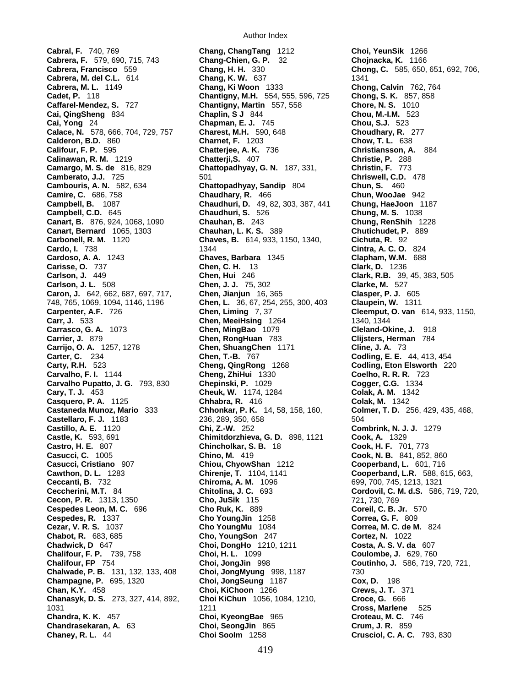**Caffarel-Mendez, S. 727 Chantigny, Martin** 557, 558 Cai, QingSheng 834 Chaplin, S J 844 **Calace, N.** 578, 666, 704, 729, 757 **Charest, M.H.** 590, 648 **Choudhary, R.** 277 **Calderon, B.D.** 860 **Charnet, F.** 1203 **Chow, T. L.** 638 **Camire, C.** 686, 758 **Chaudhary, R.** 466 **Cardoso, A. A.** 1243 **Chaves, Barbara** 1345 748, 765, 1069, 1094, 1146, 1196 **Chen, L. 36, 67, 254, 255, 300, 403**<br>**Carpenter, A.F.** 726 **Chen, Liming** 7, 37 **Carrijo, O. A.** 1257, 1278 **Chen, ShuangChen** 1171 **Cline, J. A.** 73 **Cary, T. J.** 453 **Cheuk, W.** 1174, 1284 **Colak, A. M.** 1342 **Chadwick, D** 647 **Choi, DongHo** 1210, 1211

**Cabral, F.** 740, 769 **Chang, ChangTang** 1212 **Choi, YeunSik** 1266 **Cabrera, F.** 579, 690, 715, 743 **Chang-Chien, G. P.** 32 **Chojnacka, K.** 1166 **Chang, H. H.** 330 **Chong, C.** 585, 650, 651, 692, 706, **Chang, K. W.** 637 **Chong, C.** 585, 650, 651, 692, 706, **Cabrera, M. del C.L.** 614 **Chang, K. W.** 637 1341 **Cabrera, M. L.** 1149 **Chang, Ki Woon** 1333 **Chong, Calvin** 762, 764 **Cadet, P.** 118 **Chantigny, M.H.** 554, 555, 596, 725 **Chong, S. K.** 857, 858 **Cai, QingSheng** 834 **Chaplin, S J** 844 **Chou, M.-I.M.** 523 **Cai, Yong** 24 **Chapman, E. J.** 745 **Chou, S.J.** 523 **Chatterjee, A. K.** 736 **Christiansson, A.** 884 **Calinawan, R. M.** 1219 **Chatterji,S.** 407 **Christie, P.** 288 **Camargo, M. S. de** 816, 829 **Chattopadhyay, G. N.** 187, 331, **Christin, F.** 773 **Camberato, J.J.** 725 501 501 502 501 **Cambouris, A. N.** 582, 634 **Chattopadhyay, Sandip** 804 **Chun, S.** 460 **Campbell, B.** 1087 **Chaudhuri, D.** 49, 82, 303, 387, 441 **Chung, HaeJoon** 1187 **Campbell, C.D.** 645 **Chaudhuri, S.** 526 **Chung, M. S.** 1038 **Canart, B.** 876, 924, 1068, 1090 **Chauhan, B.** 243 **Chung, RenShih** 1228 **Canart, Bernard** 1065, 1303 **Chauhan, L. K. S.** 389 **Chutichudet, P.** 889 **Carbonell, R. M.** 1120 **Chaves, B.** 614, 933, 1150, 1340, **Cichuta, R.** 92 **Cardo, I.** 738 1344 **Cintra, A. C. O.** 824 **Carisse, O.** 737 **Chen, C. H.** 13 **Clark, D.** 1236 **Carlson, J.** 449 **Chen, Hui** 246 **Clark, R.B.** 39, 45, 383, 505 **Carlson, J. L.** 508 **Chen, J. J.** 75, 302 **Clarke, M.** 527 **Caron, J.** 642, 662, 687, 697, 717, **Chen, Jianjun** 16, 365 **Clasper, P. J.** 605 **Carpenter, A.F.** 726 **Chen, Liming** 7, 37 **Cleemput, O. van** 614, 933, 1150, **Carr, J.** 533 **Chen, MeeiHsing** 1264 1340, 1344 **Carrasco, G. A.** 1073 **Chen, MingBao** 1079 **Cleland-Okine, J.** 918 **Carrier, J.** 879 **Chen, RongHuan** 783 **Clijsters, Herman** 784 **Chen, T.-B.** 767 **Codling, E. E.** 44, 413, 454 **Carty, R.H.** 523 **Cheng, QingRong** 1268 **Codling, Eton Elsworth** 220 **Carvalho, F. I.** 1144 **Cheng, ZhiHui** 1330 **Coelho, R. R. R.** 723 **Carvalho Pupatto, J. G.** 793, 830 **Chepinski, P.** 1029 **Cogger, C.G.** 1334 **Casquero, P. A.** 1125 **Chhabra, R.** 416 **Colak, M.** 1342 **Castaneda Munoz, Mario** 333 **Chhonkar, P. K.** 14, 58, 158, 160, **Colmer, T. D.** 256, 429, 435, 468, **Castellaro, F. J.** 1183 236, 289, 350, 658 504 **Castillo, A. E.** 1120 **Chi, Z.-W.** 252 **Combrink, N. J. J.** 1279 **Castle, K.** 593, 691 **Chimitdorzhieva, G. D.** 898, 1121 **Cook, A.** 1329 **Castro, H. E.** 807 **Chincholkar, S. B.** 18 **Cook, H. F.** 701, 773 **Casucci, C.** 1005 **Chino, M.** 419 **Cook, N. B.** 841, 852, 860 **Casucci, Cristiano** 907 **Chiou, ChyowShan** 1212 **Cooperband, L.** 601, 716 **Cawthon, D. L.** 1283 **Chirenje, T.** 1104, 1141 **Cooperband, L.R.** 588, 615, 663, **Ceccanti, B.** 732 **Chiroma, A. M.** 1096 699, 700, 745, 1213, 1321 **Ceccherini, M.T.** 84 **Chitolina, J. C.** 693 **Cordovil, C. M. d.S.** 586, 719, 720, **Cecon, P. R.** 1313, 1350 **Cho, JuSik** 115 721, 730, 769 **Cecon, P. R.** 1313, 1350 **Cho, JuSik** 115 721, 730, 769 **Cespedes Leon, M. C.** 696 **Cho Ruk, K.** 889 **Coreil, C. B. Jr.** 570 **Cho YoungJin** 1258 **Cezar, V. R. S.** 1037 **Cho YoungMu** 1084 **Correa, M. C. de M.** 824 **Cho, YoungSon** 247 **Cortez, N.** 1022<br> **Choi, DongHo** 1210, 1211 **Costa, A. S. V. da** 607 **Chalifour, F. P.** 739, 758 **Choi, H. L.** 1099 **Coulombe, J.** 629, 760 **Chalifour, FP** 754 **Choi, JongJin** 998 **Coutinho, J.** 586, 719, 720, 721, **Chalwade, P. B.** 131, 132, 133, 408 **Choi, JongMyung** 998, 1187 730 **Champagne, P.** 695, 1320 **Choi, JongSeung** 1187 **Cox, D.** 198 **Chan, K.Y.** 458 **Choi, KiChoon** 1266 **Crews, J. T.** 371 **Chanasyk, D. S.** 273, 327, 414, 892, **Choi KiChun** 1056, 1084, 1210, **Croce, G.** 666 1031 1211 **Cross, Marlene** 525 **Chandra, K. K.** 457 **Choi, KyeongBae** 965 **Croteau, M. C.** 746 **Chandrasekaran, A.** 63 **Choi, SeongJin** 865 **Crum, J. R.** 859 **Chaney, R. L.** 44 **Choi SooIm** 1258 **Crusciol, C. A. C.** 793, 830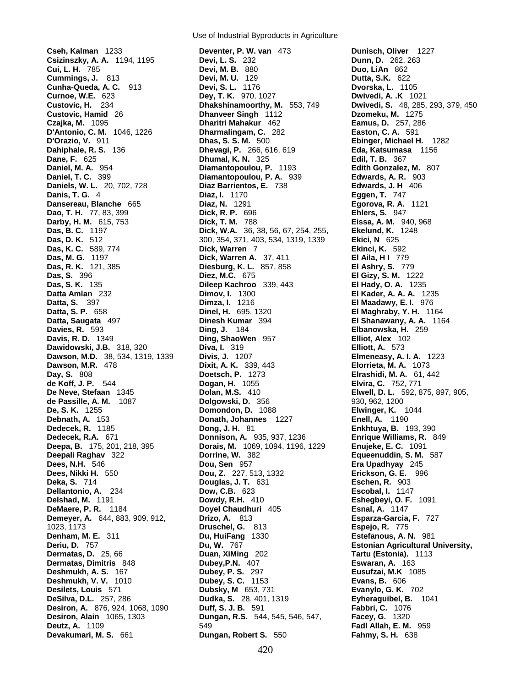**Cseh, Kalman** 1233 **Deventer, P. W. van** 473 **Dunisch, Oliver** 1227 **Das, S. K.** 135 **Dileep Kachroo** 339, 443 **Dileep Kachroo** 339, 443 **Desiron, Alain** 1065, 1303 **Dungan, R.S.** 544, 545, 546, 547,

Use of Industrial Byproducts in Agriculture

**Csizinszky, A. A.** 1194, 1195 **Devi, L. S.** 232 **Dunn, D.** 262, 263 **Devi, M. B.** 880 **Cummings, J.** 813 **Devi, M. U.** 129 **Dutta, S.K.** 622 **Cunha-Queda, A. C.** 913 **Devi, S. L.** 1176 **Dvorska, L.** 1105 **Dey, T. K.** 970, 1027 **Custovic, H.** 234 **Dhakshinamoorthy, M.** 553, 749 **Dwivedi, S.** 48, 285, 293, 379, 450 **Custovic, Hamid** 26 **Dhanveer Singh** 1112 **Dzomeku, M.** 1275 **Czajka, M.** 1095 **Dharitri Mahakur** 462 **Eamus, D.** 257, 286 **D'Antonio, C. M.** 1046, 1226 **Dharmalingam, C.** 282 **Easton, C. A.** 591 **D'Orazio, V.** 911 **Dhas, S. S. M.** 500 **Ebinger, Michael H.** 1282 **Dahiphale, R. S.** 136 **Dhevagi, P.** 266, 616, 619 **Eda, Katsumasa** 1156 **Dane, F.** 625 **Dhumal, K. N.** 325 **Edil, T. B.** 367 **Daniel, M. A.** 954 **Diamantopoulou, P.** 1193 **Edith Gonzalez, M.** 807 **Daniel, T. C.** 399 **Diamantopoulou, P. A.** 939 **Edwards, A. R.** 903 **Daniels, W. L.** 20, 702, 728 **Diaz Barrientos, E.** 738 **Edwards, J. H** 406 **Danis, T. G.** 4 **Diaz, I.** 1170 **Eggen, T.** 747 **Dansereau, Blanche** 665 **Diaz, N.** 1291 **Egorova, R. A.** 1121 **Dao, T. H.** 77, 83, 399 **Dick, R. P.** 696 **Ehlers, S.** 947 **Darby, H. M.** 615, 753 **Dick, T. M.** 788 **Eissa, A. M.** 940, 968 **Das, B. C.** 1197 **Dick, W.A.** 36, 38, 56, 67, 254, 255, **Ekelund, K.** 1248 **Das, D. K.** 512 300, 354, 371, 403, 534, 1319, 1339 **Ekici, N** 625 **Das, K. C.** 589, 774 **Dick, Warren** 7 **Ekinci, K.** 592 **Dick, Warren A.** 37, 411 **El Aila, H I** 779 **Das, R. K.** 121, 385 **Diesburg, K. L.** 857, 858 **El Ashry, S.** 779 **Das, S.** 396 **Diez, M.C.** 675 **El Gizy, S. M.** 1222 **Datta Amlan** 232 **Dimov, I.** 1300 **El Kader, A. A. A.** 1235 **Datta, S.** 397 **Dimza, I.** 1216 **El Maadawy, E. I.** 976 **Dinel, H.** 695, 1320 **El Maghraby, Y. H.** 1164 **Datta, Saugata** 497 **Dinesh Kumar** 394 **El Shanawany, A. A.** 1164 **Davies, R.** 593 **Ding, J.** 184 **Elbanowska, H.** 259 **Davis, R. D.** 1349 **Ding, ShaoWen** 957 **Elliot, Alex** 102 **Dawidowski, J.B.** 318, 320 **Diva, I.** 319 **Elliott, A.** 573 **Dawson, M.D.** 38, 534, 1319, 1339 **Divis, J.** 1207 **Elmeneasy, A. I. A.** 1223 **Dawson, M.R.** 478 **Dixit, A. K.** 339, 443 **Elorrieta, M. A.** 1073 **Day, S.** 808 **Doetsch, P.** 1273 **Elrashidi, M. A.** 61, 442 **de Koff, J. P.** 544 **Dogan, H.** 1055 **Elvira, C.** 752, 771 **De Neve, Stefaan** 1345 **Dolan, M.S.** 410 **Elwell, D. L.** 592, 875, 897, 905, **de Passille, A. M.** 1087 **Dolgowski, D.** 356 930, 962, 1200 **De, S. K.** 1255 **Domondon, D.** 1088 **Elwinger, K.** 1044 **Debnath, A.** 153 **Donath, Johannes** 1227 **Enell, A.** 1190 **Dedecek, R.** 1185 **Dong, J. H.** 81 **Enkhtuya, B.** 193, 390 **Dedecek, R.A.** 671 **Donnison, A.** 935, 937, 1236 **Enrique Williams, R.** 849 **Deepa, B.** 175, 201, 218, 395 **Dorais, M.** 1069, 1094, 1196, 1229 **Enujeke, E. C.** 1091 **Deepali Raghav** 322 **Dorrine, W.** 382 **Equeenuddin, S. M.** 587 **Dees, N.H.** 546 **Dou, Sen** 957 **Era Upadhyay** 245 **Dees, Nikki H.** 550 **Dou, Z.** 227, 513, 1332 **Erickson, G. E.** 996 **Deka, S.** 714 **Douglas, J. T.** 631 **Eschen, R.** 903 **Dellantonio, A.** 234 **Dow, C.B.** 623 **Escobal, I.** 1147 **Delshad, M.** 1191 **Dowdy, R.H.** 410 **Eshegbeyi, O. F.** 1091 **DeMaere, P. R.** 1184 **Doyel Chaudhuri** 405 **Esnal, A.** 1147 **Demeyer, A.** 644, 883, 909, 912, **Drizo, A.** 813 **Esparza-Garcia, F.** 727 1023, 1173 **Druschel, G.** 813 **Espejo, R.** 775 **Denham, M. E.** 311 **Du, HuiFang** 1330 **Estefanous, A. N.** 981 **Deriu, D.** 757 **Du, W.** 767 **Estonian Agricultural University, Dermatas, D.** 25, 66 **Duan, XiMing** 202 **Tartu (Estonia).** 1113 **Dermatas, Dimitris** 848 **Dubey,P.N.** 407 **Eswaran, A.** 163 **Deshmukh, A. S.** 167 **Dubey, P. S.** 297 **Eusufzai, M.K** 1085 **Deshmukh, V. V.** 1010 **Dubey, S. C.** 1153 **Evans, B.** 606 **Desilets, Louis** 571 **Dubsky, M** 653, 731 **Evanylo, G. K.** 702 **DeSilva, D.L.** 257, 286 **Dudka, S.** 28, 401, 1319 **Eyheraguibel, B.** 1041 **Desiron, A.** 876, 924, 1068, 1090 **Duff, S. J. B.** 591 **Fabbri, C. 1076**<br>**Dungan, R.S.** 544, 545, 546, 547, **Facev, G.** 1320 **Deutz, A.** 1109 549 **Fadl Allah, E. M.** 959 **Devakumari, M. S.** 661 **Dungan, Robert S.** 550 **Fahmy, S. H.** 638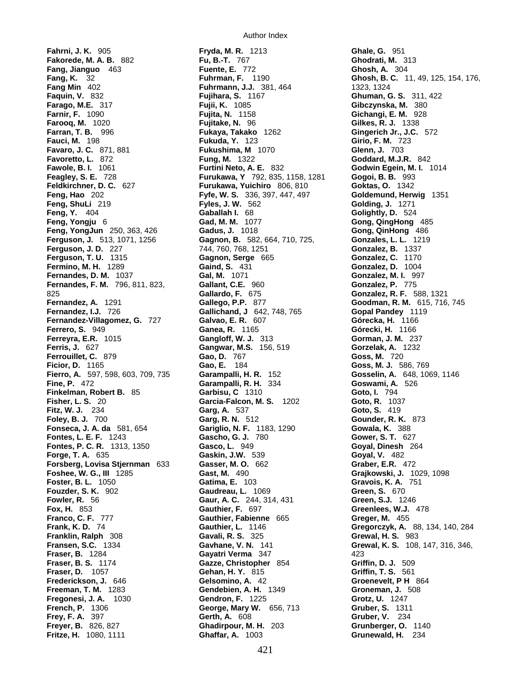**Fahrni, J. K.** 905 **Fryda, M. R.** 1213 **Ghale, G.** 951 **Fakorede, M. A. B.** 882 **Fu, B.-T.** 767 **Ghodrati, M.** 313 **Fang, Jianguo 463 Fang Min** 402 **Fuhrmann, J.J.** 381, 464 1323, 1324 **Farago, M.E.** 317 **Fujii, K.** 1085 **Gibczynska, M.** 380 **Farnir, F.** 1090 **Fujita, N.** 1158 **Gichangi, E. M.** 928 **Farooq, M.** 1020 **Fujitake, N.** 96 **Gilkes, R. J.** 1338 **Farran, T. B.** 996 **Fukaya, Takako** 1262 **Gingerich Jr., J.C.** 572 **Fauci, M.** 198 **Fukuda, Y.** 123 **Girio, F. M.** 723 **Favaro, J. C.** 871, 881 **Fukushima, M** 1070 **Glenn, J.** 703 **Favoretto, L.** 872 **Fung, M.** 1322 **Goddard, M.J.R.** 842 **Fawole, B. I.** 1061 **Furtini Neto, A. E.** 832 **Godwin Egein, M. I.** 1014 **Feagley, S. E.** 728 **Furukawa, Y** 792, 835, 1158, 1281 **Gogoi, B. B.** 993 **Feldkirchner, D. C.** 627 **Furukawa, Yuichiro** 806, 810 **Goktas, O.** 1342 **Feng, Hao** 202 **Fyfe, W. S.** 336, 397, 447, 497 **Goldemund, Herwig** 1351 **Feng, ShuLi** 219 **Fyles, J. W.** 562 **Golding, J.** 1271 **Feng, Y.** 404 **Gaballah I.** 68 **Golightly, D.** 524 **Feng, Yongju** 6 **Gad, M. M.** 1077 **Gong, QingHong** 485 **Feng, YongJun** 250, 363, 426 **Gadus, J.** 1018 **Gong, QinHong** 486 **Ferguson, J.** 513, 1071, 1256 **Gagnon, B.** 582, 664, 710, 725, **Gonzales, L. L.** 1219 **Ferguson, J. D.** 227 744, 760, 768, 1251 **Gonzalez, B.** 1337 **Ferguson, T. U.** 1315 **Gagnon, Serge** 665 **Gonzalez, C.** 1170 **Fermino, M. H.** 1289 **Gaind, S.** 431 **Gonzalez, D. 1004**<br>**Fernandes, D. M. 1037 Gal, M. 1071 Gonzalez, M. I. 997 Fernandes, D. M.** 1037 **Gal, M.** 1071 **Gonzalez, M. I.** 99<br> **Fernandes, F. M.** 796, 811, 823, **Gallant, C.E.** 960 **Gonzalez, P. 775 Gonzalez, P. 775 Fernandes, F. M.** 796, 811, 823, **Gallant, C.E.** 960<br>825 **Gallardo, F.** 675 825 **Gallardo, F.** 675 **Gonzalez, R. F.** 588, 1321 **Fernandez, A.** 1291 **Gallego, P.P.** 877 **Goodman, R. M.** 615, 716, 745 **Fernandez, I.J.** 726 **Gallichand, J** 642, 748, 765 **Gopal Pandey** 11<br>**Fernandez-Villagomez, G. 727 Galvao, E. R.** 607 **Górecka, H. 1166 Fernandez-Villagomez, G. 727 <b>Galvao, E. R.** 607 **Ferrero, S.** 949 **Ganea, R.** 1165 **Górecki, H.** 1166 **Ferreyra, E.R.** 1015 **Gangloff, W. J.** 313 **Gorman, J. M.** 237 **Ferris, J.** 627 **Gangwar, M.S.** 156, 519 **Gorzelak, A.** 1232 **Ferrouillet, C.** 879 **Gao, D.** 767 **Goss, M.** 720 **Ficior, D.** 1165 **Gao, E.** 184 **Goss, M. J.** 586, 769 **Fierro, A.** 597, 598, 603, 709, 735 **Garampalli, H. R.** 152 **Gosselin, A.** 648, 1069, 1146 **Finkelman, Robert B.** 85 **Garbisu, C** 1310 **Goto, I.** 794 **Fisher, L. S.** 20 **Garcia-Falcon, M. S.** 1202 **Goto, R.** 1037 **Fitz, W. J.** 234 **Garg, A.** 537 **Goto, S.** 419 **Foley, B. J.** 700 **Garg, R. N.** 512 **Gounder, R. K.** 873 **Fonseca, J. A. da** 581, 654 **Gariglio, N. F.** 1183, 1290 **Gowala, K.** 388 **Fontes, L. E. F.** 1243 **Gascho, G. J.** 780 **Gower, S. T.** 627 **Fontes, P. C. R.** 1313, 1350 **Gasco, L.** 949 **Goyal, Dinesh** 264 **Forge, T. A.** 635 **Gaskin, J.W.** 539 **Goyal, V.** 482 **Forsberg, Lovisa Stjernman** 633 **Gasser, M. O.** 662 **Graber, E.R.** 472 **Foshee, W. G., III** 1285 **Gast, M.** 490 **Grajkowski, J.** 1029, 1098 **Foster, B. L.** 1050 **Gatima, E.** 103 **Gravois, K. A.** 751 **Fouzder, S. K.** 902 **Gaudreau, L.** 1069 **Green, S.** 670 **Fowler, R.** 56 **Gaur, A. C.** 244, 314, 431 **Green, S.J.** 1246 **Fox, H.** 853 **Gauthier, F.** 697 **Greenlees, W.J.** 478 **Frank, K. D.** 74 **Gauthier, L.** 1146 **Gregorczyk, A.** 88, 134, 140, 284 **Franklin, Ralph** 308 **Gavali, R. S.** 325 **Grewal, H. S.** 983 **Fraser, B.** 1284 **Gayatri Verma** 347 **423 Gayatri Verma** 347 **423 Griffin, D. J.** 509 **Fraser, B. S.** 1174 **Gazze, Christopher** 854 **Fraser, D.** 1057 **Gehan, H. Y.** 815 **Griffin, T. S.** 561 **Frederickson, J.** 646 **Gelsomino, A.** 42 **Groenevelt, P H** 864 **Freeman, T. M.** 1283 **Gendebien, A. H.** 1349 **Groneman, J.** 508 **Fregonesi, J. A.** 1030 **Gendron, F.** 1225 **Grotz, U.** 1247 **French, P.** 1306 **George, Mary W.** 656, 713 **Gruber, S.** 1311

Author Index

**Faquin, V.** 832 **Fujihara, S.** 1167 **Ghuman, G. S.** 311, 422 **Fine, P.** 472 **Garampalli, R. H.** 334 **Goswami, A.** 526 Gauthier, Fabienne 665 **Greger, M.** 455 **Frey, F. A.** 397 **Gerth, A.** 608 **Gruber, V.** 234 **Frever, B.** 826, 827 **Gruber, O. Gruberger, O. Freyer, B.** 826, 827 **Ghadirpour, M. H.** 203 **Grunberger, O.** 1140 **Fritze, H.** 1080, 1111 **Ghaffar, A.** 1003 **Grunewald, H.** 234

**Fang, K.** 32 **Fuhrman, F.** 1190 **Ghosh, B. C.** 11, 49, 125, 154, 176, **Grewal, K. S.** 108, 147, 316, 346,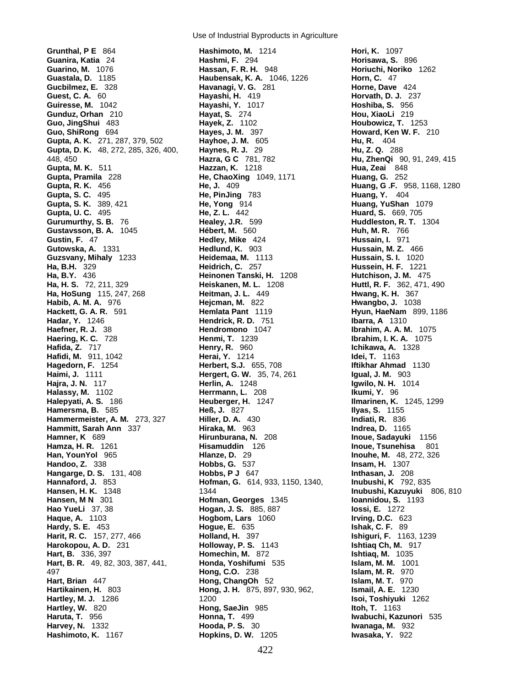**Grunthal, P E** 864 **Hashimoto, M.** 1214 **Hori, K.** 1097 **Guanira, Katia** 24 **Hashmi, F.** 294 **Horisawa, S.** 896 **Guarino, M.** 1076 **Hassan, F. R. H.** 948 **Horiuchi, Noriko** 1262 **Guastala, D.** 1185 **Haubensak, K. A.** 1046, 1226 **Horn, C.** 47 **Gucbilmez, E.** 328 **Havanagi, V. G.** 281 **Horne, Dave** 424 **Guest, C. A.** 60 **Hayashi, H.** 419 **Horvath, D. J.** 237 **Guiresse, M.** 1042 **Hayashi, Y.** 1017 **Gunduz, Orhan** 210 **Hayat, S.** 274 **Hou, XiaoLi** 219 **Guo, JingShui** 483 **Hayek, Z.** 1102 **Houbowicz, T.** 1253 **Guo, ShiRong** 694 **Hayes, J. M.** 397 **Howard, Ken W. F.** 210 **Gupta, A. K.** 271, 287, 379, 502 **Hayhoe, J. M.** 605 **Hu, R.** 404 **Gupta, D. K.** 48, 272, 285, 326, 400, **Haynes, R. J.** 29 **Hu, Z. Q.** 288 448, 450 **Hazra, G C** 781, 782 **Hu, ZhenQi** 90, 91, 249, 415 **Gupta, M. K.** 511 **Hazzan, K.** 1218 **Hua, Zeai** 848 **Gupta, R. K.** 456 **He, J.** 409 **Huang, G .F.** 958, 1168, 1280 **Gupta, S. C.** 495 **He, PinJing** 783 **Huang, Y.** 404 **Gupta, S. K.** 389, 421 **He, Yong** 914 **Huang, YuShan** 1079 **Gupta, U. C.** 495 **He, Z. L.** 442 **Huard, S.** 669, 705 **Gurumurthy, S. B.** 76 **Healey, J.R.** 599 **Huddleston, R. T.** 1304 **Gustavsson, B. A.** 1045 **Hébert, M.** 560 **Huh, M. R.** 766 **Gustin, F.** 47 **Hedley, Mike** 424 **Hussain, I.** 971 **Gutowska, A.** 1331 **Hedlund, K.** 903 **Hussain, M. Z.** 466 **Guzsvany, Mihaly** 1233 **Heidemaa, M.** 1113 **Hussain, S. I.** 1020 **Ha, B.H.** 329 **Heidrich, C.** 257 **Hussein, H. F.** 1221 **Ha, H. S.** 72, 211, 329 **Heiskanen, M. L.** 1208 **Huttl, R. F.** 362, 471, 490 **Ha, HoSung** 115, 247, 268 **Habib, A. M. A.** 976 **Hejcman, M.** 822 **Hwangbo, J.** 1038 **Hackett, G. A. R.** 591 **Hemlata Pant** 1119 **Hyun, HaeNam** 899, 1186 **Hadar, Y.** 1246 **Hendrick, R. D.** 751 **Ibarra, A** 1310 **Haefner, R. J.** 38 **Hendromono** 1047 **Ibrahim, A. A. M.** 1075 **Haering, K. C.** 728 **Henmi, T.** 1239 **Ibrahim, I. K. A.** 1075 **Hafida, Z.** 717 **Henry, R.** 960 **Ichikawa, A.** 1328 **Hafidi, M.** 911, 1042 **Herai, Y.** 1214 **Idei, T.** 1163 **Hagedorn, F.** 1254 **Herbert, S.J.** 655, 708 **Iftikhar Ahmad** 1130 **Haimi, J.** 1111 **Hergert, G. W.** 35, 74, 261 **Igual, J. M.** 903 **Hajra, J. N.** 117 **Herlin, A.** 1248 **Igwilo, N. H.** 1014 **Halassy, M.** 1102 **Herrmann, L.** 208 **Ikumi, Y.** 96 **Halepyati, A. S.** 186 **Heuberger, H.** 1247 **Ilmarinen, K.** 1245, 1299 **Hamersma, B.** 585 **Heß, J.** 827 **Ilyas, S.** 1155 **Hammermeister, A. M.** 273, 327 **Hiller, D. A.** 430 **Indiati, R.** 836 **Hammitt, Sarah Ann** 337 **Hiraka, M.** 963 **Indrea, D.** 1165 **Hamner, K** 689 **Hirunburana, N.** 208 **Inoue, Sadayuki** 1156 **Hamza, H. R.** 1261 **Hisamuddin** 126 **Inoue, Tsunehisa** 801 **Han, YounYol** 965 **Hlanze, D.** 29 **Inouhe, M.** 48, 272, 326 **Handoo, Z.** 338 **Hobbs, G.** 537 **Insam, H.** 1307 **Hangarge, D. S.** 131, 408 **Hobbs, P J** 647 **Inthasan, J.** 208 **Hannaford, J.** 853 **Hofman, G.** 614, 933, 1150, 1340, **Inubushi, K** 792, 835 **Hansen, H. K.** 1348 1344 **Inubushi, Kazuyuki** 806, 810 **Hansen, M N** 301 **Hofman, Georges** 1345 **Hao YueLi** 37, 38 **Hogan, J. S.** 885, 887 **Iossi, E.** 1272 **Haque, A.** 1103 **Hogbom, Lars** 1060 **Hardy, S. E.** 453 **Hogue, E.** 635 **Ishak, C. F.** 89 **Harit, R. C.** 157, 277, 466 **Holland, H.** 397 **Ishiguri, F.** 1163, 1239 **Harokopou, A. D.** 231 **Holloway, P. S.** 1143 **Ishtiaq Ch, M.** 917 **Hart, B.** 336, 397 **Homechin, M.** 872 **Ishtiaq, M.** 1035 **Hart, B. R.** 49, 82, 303, 387, 441, **Honda, Yoshifumi** 535 **Islam, M. M.** 1001 497 **Hong, C.O.** 238 **Islam, M. R.** 970 **Hart, Brian** 447 **Hong, ChangOh** 52 **Islam, M. T.** 970 **Hartikainen, H.** 803 **Hong, J. H.** 875, 897, 930, 962, **Ismail, A. E.** 1230 **Hartley, M. J.** 1286 1200 **Isoi, Toshiyuki** 1262 **Hartley, W.** 820 **Hong, SaeJin** 985 **Itoh, T.** 1163 **Haruta, T.** 956 **Honna, T.** 499 **Iwabuchi, Kazunori** 535 **Harvey, N.** 1332 **Hooda, P. S.** 30 **Iwanaga, M.** 932

Use of Industrial Byproducts in Agriculture

**Gupta, Pramila** 228 **He, ChaoXing** 1049, 1171 **Huang, G.** 252 **Heinonen Tanski, H. 1208<br>Heiskanen, M. L. 1208 Hashimoto, K.** 1167 **Hopkins, D. W.** 1205 **Iwasaka, Y.** 922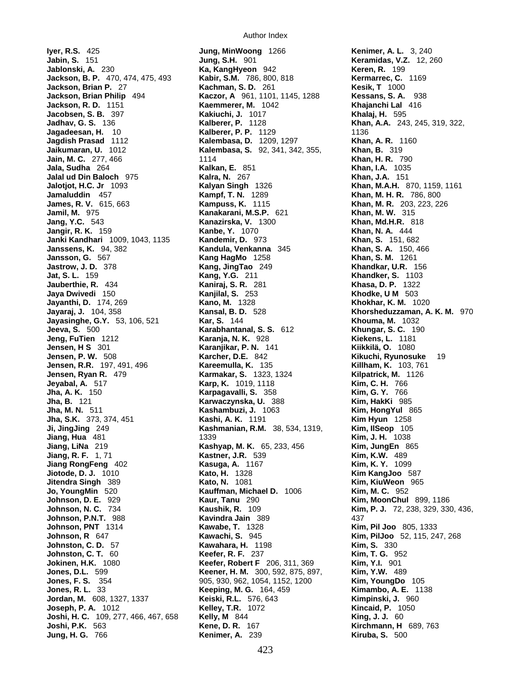**Iyer, R.S.** 425 **Jung, MinWoong** 1266 **Kenimer, A. L.** 3, 240 **Jabin, S.** 151 **Jung, S.H.** 901 **Keramidas, V.Z.** 12, 260 **Jackson, B. P.** 470, 474, 475, 493 **Kabir, S.M.** 786, 800, 818 **Kermarrec, C.** 1169 **Jackson, Brian P. 27 <b>Kachman, S. D. 261 Jackson, Brian Philip** 494 **Kaczor, A** 961, 1101, 1145, 1288 **Kessans, S. A.** 938 **Jackson, R. D.** 1151 **Kaemmerer, M.** 1042 **Khajanchi Lal** 416 **Jacobsen, S. B.** 397 **Kakiuchi, J.** 1017 **Khalaj, H.** 595 **Jadhav, G. S.** 136 **Kalberer, P.** 1128 **Khan, A.A.** 243, 245, 319, 322, **Jagadeesan, H.** 10 **Kalberer, P. P.** 1129 1136 **Jagdish Prasad** 1112 **Kalembasa, D.** 1209, 1297 **Khan, A. R.** 1160 **Jain, M. C.** 277, 466 1114 **Khan, H. R.** 790 **Jalal ud Din Baloch** 975 **Kalra, N.** 267 **Khan, J.A.** 151 **Jalotjot, H.C. Jr** 1093 **Kalyan Singh** 1326 **Khan, M.A.H.** 870, 1159, 1161 **Jamaluddin** 457 **Kampf, T. N.** 1289 **Khan, M. H. R.** 786, 800 **James, R. V.** 615, 663 **Kampuss, K.** 1115 **Khan, M. R.** 203, 223, 226 **Jamil, M.** 975 **Kanakarani, M.S.P.** 621 **Khan, M. W.** 315 **Jang, Y.C.** 543 **Kanazirska, V.** 1300 **Khan, Md.H.R.** 818 **Jangir, R. K.** 159 **Kanbe, Y.** 1070 **Khan, N. A.** 444 **Janki Kandhari** 1009, 1043, 1135 **Kandemir, D.** 973 **Janssens, K.** 94, 382 **Kandula, Venkanna** 345 **Khan, S. A.** 150, 466 **Jansson, G.** 567 **Kang HagMo** 1258 **Khan, S. M.** 1261 **Jastrow, J. D.** 378 **Kang, JingTao** 249 **Khandkar, U.R.** 156 **Jat, S. L.** 159 **Kang, Y.G.** 211 **Kang, Y.G. 211 Khandker, S. 1103**<br> **Jauberthie, R. 434 Kaniraj, S. R. 281 Khasa, D. P. 1322 Jauberthie, R.** 434 **Kaniraj, S. R.** 281 **Khasa, D. P.** 1322 **Jaya Dwivedi** 150 **Kanjilal, S.** 253 **Khodke, U M** 503 **Jayanthi, D.** 174, 269 **Kano, M.** 1328 **Khokhar, K. M.** 1020 **Jayasinghe, G.Y.** 53, 106, 521 **Kar, S.** 144 **Khouma, M.** 1032 **Jeeva, S.** 500 **Karabhantanal, S. S.** 612 **Khungar, S. C.** 190 **Jeng, FuTien** 1212 **Karanja, N. K.** 928 **Kiekens, L.** 1181 **Jensen, H S** 301 **Karanjikar, P. N.** 141 **Jensen, P. W.** 508 **Karcher, D.E.** 842 **Kikuchi, Ryunosuke** 19 **Jensen, R.R.** 197, 491, 496 **Kareemulla, K.** 135 **Killham, K.** 103, 761 **Jensen, Ryan R.** 479 **Karmakar, S.** 1323, 1324 **Kilpatrick, M.** 1126 **Jeyabal, A.** 517 **Karp, K.** 1019, 1118 **Kim, C. H.** 766 **Jha, A. K.** 150 **Karpagavalli, S.** 358 **Kim, G. Y.** 766 **Jha, B.** 121 **Karwaczynska, U.** 388 **Kim, HakKi** 985 **Jha, M. N.** 511 **Kashambuzi, J.** 1063 **Kim, HongYul** 865 **Jha, S.K.** 373, 374, 451 **Kashi, A. K.** 1191 **Kim Hyun** 1258 **Ji, JingJing** 249 **Kashmanian, R.M.** 38, 534, 1319, **Jiang, Hua** 481 1339 **Kim, J. H.** 1038 **Jiang, LiNa** 219 **Kashyap, M. K.** 65, 233, 456 **Kim, JungEn** 865 **Jiang, R. F.** 1, 71 **Kastner, J.R.** 539 **Kim, K.W.** 489 **Jiang RongFeng** 402 **Kasuga, A.** 1167 **Kim, K. Y.** 1099 **Jiotode, D. J.** 1010 **Kato, H.** 1328 **Kim KangJoo** 587 **Jitendra Singh** 389 **Kato, N.** 1081 **Kim, KiuWeon** 965 **Jo, YoungMin** 520 **Kauffman, Michael D.** 1006 **Kim, M. C.** 952 **Johnson, D. E.** 929 **Kaur, Tanu** 290 **Kim, MoonChul** 899, 1186 **Johnson, P.N.T.** 988 **Kavindra Jain** 389 437 **Johnson, PNT** 1314 **Kawabe, T.** 1328 **Kim, Pil Joo** 805, 1333 **Johnson, R** 647 **Kawachi, S.** 945 **Kim, PilJoo** 52, 115, 247, 268 **Johnston, C. D.** 57 **Kawahara, H.** 1198 **Kim, S.** 330 **Johnston, C. T.** 60 **Keefer, R. F.** 237 **Kim, T. G.** 952 **Jokinen, H.K.** 1080 **Keefer, Robert F** 206, 311, 369 **Kim, Y.I.** 901 **Jones, D.L.** 599 **Keener, H. M.** 300, 592, 875, 897, **Kim, Y.W.** 489 **Jones, F. S.** 354 905, 930, 962, 1054, 1152, 1200 **Kim, YoungDo** 105<br> **Jones, R. L. 33 Keeping, M. G.** 164, 459 **Kimambo, A. E.** 11 **Jordan, M.** 608, 1327, 1337 **Keiski, R.L.** 576, 643 **Kimpinski, J.** 960 **Joseph, P. A.** 1012 **Kelley, T.R.** 1072 **Kincaid, P.** 1050 **Joshi, H. C.** 109, 277, 466, 467, 658 **Kelly, M** 844 **King, J. J.** 60 **Joshi, P.K.** 563 **Kene, D. R.** 167 **Kirchmann, H** 689, 763

**Ka, KangHyeon** 942 **Kalembasa, S.** 92, 341, 342, 355, **Khan, B.** 319 **Kansal, B. D.** 528 **Khorsheduzzaman, A. K. M.** 970 **Kaushik, R.** 109 **Kim, P. J.** 72, 238, 329, 330, 436, **Jones, R. L.** 33 **Keeping, M. G.** 164, 459 **Kimambo, A. E.** 1138 **Jung, H. G.** 766 **Kenimer, A.** 239 **Kiruba, S.** 500

**Khan, I.A.** 1035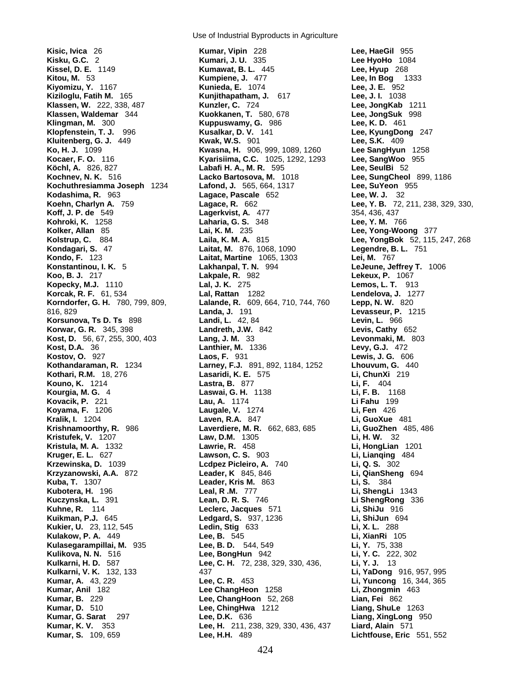**Kisic, Ivica** 26 **Kumar, Vipin** 228 **Lee, HaeGil** 955 **Korcak, R. F.** 61, 534 **Kothari, R.M.** 18, 276 **Lasaridi, K. E.** 575 **Kovacik, P.** 221 **Lau, A.** 1174

Use of Industrial Byproducts in Agriculture

**Kisku, G.C.** 2 **Kumari, J. U.** 335 **Lee HyoHo** 1084 **Kissel, D. E.** 1149 **Kumawat, B. L.** 445 **Lee, Hyup** 268 **Kitou, M.** 53 **Kumpiene, J.** 477 **Lee, In Bog** 1333 **Kiyomizu, Y.** 1167 **Kunieda, E.** 1074 **Lee, J. E.** 952 **Kiziloglu, Fatih M.** 165 **Kunjithapatham, J.** 617 **Lee, J. I.** 1038 **Klassen, W.** 222, 338, 487 **Kunzler, C.** 724 **Lee, JongKab** 1211 **Klassen, Waldemar** 344 **Kuokkanen, T.** 580, 678 **Lee, JongSuk** 998 **Klingman, M.** 300 **Kuppuswamy, G.** 986 **Lee, K. D.** 461 **Klopfenstein, T. J.** 996 **Kusalkar, D. V.** 141 **Lee, KyungDong** 247 **Kluitenberg, G. J.** 449 **Kwak, W.S.** 901 **Lee, S.K.** 409 **Ko, H. J.** 1099 **Kwasna, H.** 906, 999, 1089, 1260 **Lee SangHyun** 1258 **Kyarisiima, C.C.** 1025, 1292, 1293 **Köchl, A.** 826, 827 **Labafi H. A., M. R.** 595 **Lee, SeulBi** 52 **Kochnev, N. K.** 516 **Lacko Bartosova, M.** 1018 **Lee, SungCheol** 899, 1186 **Kochuthresiamma Joseph** 1234 **Lafond, J.** 565, 664, 1317 **Lee, SuYeon** 955 **Kodashima, R.** 963 **Lagace, Pascale** 652 **Lee, W. J.** 32 **Koehn, Charlyn A.** 759 **Lagace, R.** 662 **Lee, Y. B.** 72, 211, 238, 329, 330, **Koff, J. P. de** 549 **Lagerkvist, A.** 477 354, 436, 437 **Kohroki, K.** 1258 **Laharia, G. S.** 348 **Lee, Y. M.** 766 **Kolker, Allan** 85 **Lai, K. M.** 235 **Lee, Yong-Woong** 377 **Kolstrup, C.** 884 **Laila, K. M. A.** 815 **Lee, YongBok** 52, 115, 247, 268 **Kondagari, S.** 47 **Laitat, M.** 876, 1068, 1090 **Legendre, B. L.** 751 **Kondo, F.** 123 **Laitat, Martine** 1065, 1303 **Lei, M.** 767 Lakhanpal, T. N. 994 **LeJeune, Jeffrey T.** 1006 **Koo, B. J.** 217 **Lakpale, R.** 982 **Lekeux, P.** 1067 **Kopecky, M.J.** 1110 **Lal, J. K.** 275 **Lemos, L. T.** 913 **Korndorfer, G. H.** 780, 799, 809, **Lalande, R.** 609, 664, 710, 744, 760 **Lepp, N. W.** 820 816, 829 **Landa, J.** 191 **Levasseur, P.** 1215 **Korsunova, Ts D. Ts** 898 **Landi, L.** 42, 84 **Levin, L.** 966 **Korwar, G. R.** 345, 398 **Landreth, J.W.** 842 **Levis, Cathy** 652 **Kost, D.** 56, 67, 255, 300, 403 **Lang, J. M.** 33 **Levonmaki, M.** 803 **Kost, D.A.** 36 **Lanthier, M.** 1336 **Levy, G.J.** 472 **Kostov, O.** 927 **Laos, F.** 931 **Lewis, J. G.** 606 **Kothandaraman, R.** 1234 **Larney, F.J.** 891, 892, 1184, 1252 **Lhouvum, G.** 44<br>**Kothari, R.M.** 18, 276 **Lasaridi, K. E. 575 Li, ChunXi** 219 **Kouno, K.** 1214 **Lastra, B.** 877 **Li, F.** 404 **Kourgia, M. G.** 4 **Laswai, G. H.** 1138 **Li, F. B.** 1168 **Koyama, F.** 1206 **Laugale, V.** 1274 **Li, Fen** 426 **Kralik, I.** 1204 **Laven, R.A.** 847 **Li, GuoXue** 481 **Krishnamoorthy, R.** 986 **Laverdiere, M. R.** 662, 683, 685 **Li, GuoZhen** 485, 486 **Kristufek, V.** 1207 **Law, D.M.** 1305 **Li, H. W.** 32 **Kristula, M. A.** 1332 **Lawrie, R.** 458 **Li, HongLian** 1201 **Kruger, E. L.** 627 **Lawson, C. S.** 903 **Li, Lianqing** 484 **Krzewinska, D.** 1039 **Lcdpez Picleiro, A.** 740 **Li, Q. S.** 302 **Krzyzanowski, A.A.** 872 **Leader, K** 845, 846 **Li, QianSheng** 694 **Kuba, T.** 1307 **Leader, Kris M.** 863 **Li, S.** 384 **Kubotera, H.** 196 **Leal, R .M.** 777 **Li, ShengLi** 1343 **Kuczynska, L.** 391 **Lean, D. R. S.** 746 **Li ShengRong** 336 Leclerc, Jacques 571 **Li, ShiJu** 916 **Kuikman, P.J.** 645 **Ledgard, S.** 937, 1236 **Li, ShiJun** 694 **Kukier, U.** 23, 112, 545 **Ledin, Stig** 633 **Li, X. L.** 288 **Kulakow, P. A.** 449 **Lee, B.** 545 **Li, XianRi** 105 **Kulasegarampillai, M.** 935 **Lee, B. D.** 544, 549 **Li, Y.** 75, 338 **Kulikova, N. N.** 516 **Lee, BongHun** 942 **Li, Y. C.** 222, 302 **Kulkarni, H. D.** 587 **Lee, C. H.** 72, 238, 329, 330, 436, **Li, Y. J.** 13 **Kulkarni, V. K.** 132, 133 437 **Li, YaDong** 916, 957, 995 **Kumar, A.** 43, 229 **Lee, C. R.** 453 **Li, Yuncong** 16, 344, 365 **Kumar, Anil** 182 **Lee ChangHeon** 1258 **Li, Zhongmin** 463 **Kumar, B.** 229 **Lee, ChangHoon** 52, 268 **Lian, Fei** 862 **Kumar, D.** 510 **Lee, ChingHwa** 1212 **Liang, ShuLe** 1263 **Lee, D.K.** 636 **Liang, XingLong** 950 **Kumar, K. V.** 353 **Lee, H.** 211, 238, 329, 330, 436, 437 **Liard, Alain** 571 **Kumar, S.** 109, 659 **Lee, H.H.** 489 **Lichtfouse, Eric** 551, 552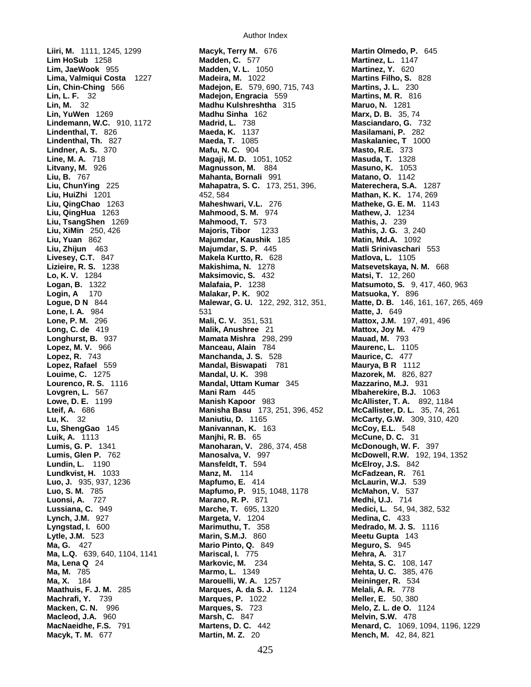**Liiri, M.** 1111, 1245, 1299 **Macyk, Terry M.** 676 **Martin Olmedo, P.** 645 **Line, M. A.** 718 **Magaji, M. D.** 1051, 1052 **Longhurst, B.** 937 **Mamata Mishra** 298, 299 **Lopez, R.** 743 **Manchanda, J. S.** 528 **Luonsi, A. 277 <b>Marano, R. P.** 871<br> **Lussiana, C.** 949 **Marche, T.** 695, 1320 **Lynch, J.M.** 927 **Margeta, V.** 1204

Author Index

**Lim, JaeWook** 955 **Madden, V. L.** 1050 **Martinez, Y.** 620 **Lima, Valmiqui Costa** 1227 **Madeira, M.** 1022 **Martins Filho, S.** 828 **Lin, Chin-Ching** 566 **Madejon, E.** 579, 690, 715, 743<br>**Lin, L. F.** 32 **Madejon, Engracia** 559 **Lin, L. F.** 32 **Madejon, Engracia** 559 **Martins, M. R.** 816 **Lin, M.** 32 **Madhu Kulshreshtha** 315 **Maruo, N.** 1281 **Lin, YuWen** 1269 **Madhu Sinha** 162 **Marx, D. B.** 35, 74 **Lindemann, W.C.** 910, 1172 **Madrid, L.** 738 **Masciandaro, G.** 732 **Lindenthal, T.** 826 **Maeda, K.** 1137 **Masilamani, P.** 282 **Lindenthal, Th.** 827 **Maeda, T.** 1085 **Maskalaniec, T** 1000 **Lindner, A. S.** 370 **Mafu, N. C.** 904 **Masto, R.E.** 373 **Litvany, M.** 926 **Magnusson, M.** 884 **Masuno, K.** 1053 **Liu, B.** 767 **Mahanta, Bornali** 991 **Matano, O.** 1142 **Liu, ChunYing** 225 **Mahapatra, S. C.** 173, 251, 396, **Materechera, S.A.** 1287 **Liu, HuiZhi** 1201 452, 584 **Mathan, K. K.** 174, 269 **Liu, QingChao** 1263 **Maheshwari, V.L.** 276 **Matheke, G. E. M.** 1143 **Liu, QingHua** 1263 **Mahmood, S. M.** 974 **Mathew, J.** 1234 **Liu, TsangShen** 1269 **Mahmood, T.** 573 **Mathis, J.** 239 **Liu, XiMin** 250, 426 **Majoris, Tibor** 1233 **Mathis, J. G.** 3, 240 **Liu, Yuan** 862 **Majumdar, Kaushik** 185 **Matin, Md.A.** 1092 **Liu, Zhijun** 463 **Majumdar, S. P.** 445 **Matli Srinivaschari** 553 **Livesey, C.T.** 847 **Makela Kurtto, R.** 628 **Matlova, L.** 1105 **Lizieire, R. S.** 1238 **Makishima, N.** 1278 **Matsevetskaya, N. M.** 668 **Maksimovic, S.** 432 **Matsi, T.** 12, 260<br>**Malafaia, P.** 1238 **Matsumoto, S.** 9 **Logan, B.** 1322 **Malafaia, P.** 1238 **Matsumoto, S.** 9, 417, 460, 963 **Login, A** 170 **Malakar, P. K.** 902 **Matsuoka, Y.** 896 **Lone, I. A.** 984 531 **Matte, J.** 649 **Lone, P. M.** 296 **Mali, C. V.** 351, 531 **Mattox, J.M.** 197, 491, 496 **Long, C. de** 419 **Malik, Anushree** 21 **Mattox, Joy M.** 479 **Lopez, M. V.** 966 **Manceau, Alain** 784 **Maurenc, L.** 1105 **Lopez, Rafael** 559 **Mandal, Biswapati** 781 **Maurya, B R** 1112 **Louime, C.** 1275 **Mandal, U. K.** 398 **Mazorek, M.** 826, 827 **Lourenco, R. S.** 1116 **Mandal, Uttam Kumar** 345 **Mazzarino, M.J.** 931 **Lovgren, L.** 567 **Mani Ram** 445 **Mbaherekire, B.J.** 1063 **Lowe, D. E.** 1199 **Manish Kapoor** 983 **McAllister, T. A.** 892, 1184 **Lteif, A.** 686 **Manisha Basu** 173, 251, 396, 452 **McCallister, D. L.** 35, 74, 261 **Lu, K.** 32 **Maniutiu, D.** 1165 **McCarty, G.W.** 309, 310, 420 **Lu, ShengGao** 145 **Manivannan, K.** 163 **McCoy, E.L.** 548 **Luik, A.** 1113 **Manjhi, R. B.** 65 **McCune, D. C.** 31 **Lumis, G. P.** 1341 **Manoharan, V.** 286, 374, 458 **McDonough, W. F.** 397 **Lumis, Glen P.** 762 **Manosalva, V.** 997 **McDowell, R.W.** 192, 194, 1352 **Lundin, L.** 1190 **Mansfeldt, T.** 594 **McElroy, J.S.** 842 **Lundkvist, H.** 1033 **Manz, M.** 114 **McFadzean, R.** 761 **Luo, J.** 935, 937, 1236 **Mapfumo, E.** 414 **McLaurin, W.J.** 539 **Luo, S. M.** 785 **Mapfumo, P.** 915, 1048, 1178 **McMahon, V.** 537 **Lussiana, C.** 949 **Marche, T.** 695, 1320 **Medici, L.** 54, 94, 382, 532 **Lyngstad, I.** 600 **Marimuthu, T.** 358 **Medrado, M. J. S.** 1116 **Lytle, J.M.** 523 **Marin, S.M.J.** 860 **Meetu Gupta** 143 **Ma, G.** 427 **Mario Pinto, Q.** 849 **Meguro, S.** 945 **Ma, L.Q.** 639, 640, 1104, 1141 **Mariscal, I.** 775 **Mehra, A.** 317 **Ma, Lena Q** 24 **Markovic, M.** 234 **Mehta, S. C.** 108, 147 **Ma, M.** 785 **Marmo, L.** 1349 **Mehta, U. C.** 385, 476 **Ma, X.** 184 **Marouelli, W. A.** 1257 **Meininger, R.** 534 **Maathuis, F. J. M.** 285 **Marques, A. da S. J.** 1124 **Melali, A. R.** 778 **Machrafi, Y.** 739 **Marques, P.** 1022 **Meller, E.** 50, 380 **Macken, C. N.** 996 **Marques, S.** 723 **Melo, Z. L. de O.** 1124 **Macleod, J.A.** 960 **Marsh, C.** 847 **Melvin, S.W.** 478 **Macyk, T. M.** 677 **Martin, M. Z.** 20 **Mench, M.** 42, 84, 821

**Martinez, L.** 1147 **Logue, D N** 844 **Malewar, G. U.** 122, 292, 312, 351, **Matte, D. B.** 146, 161, 167, 265, 469 **MacNaeidhe, F.S.** 791 **Martens, D. C.** 442 **Menard, C.** 1069, 1094, 1196, 1229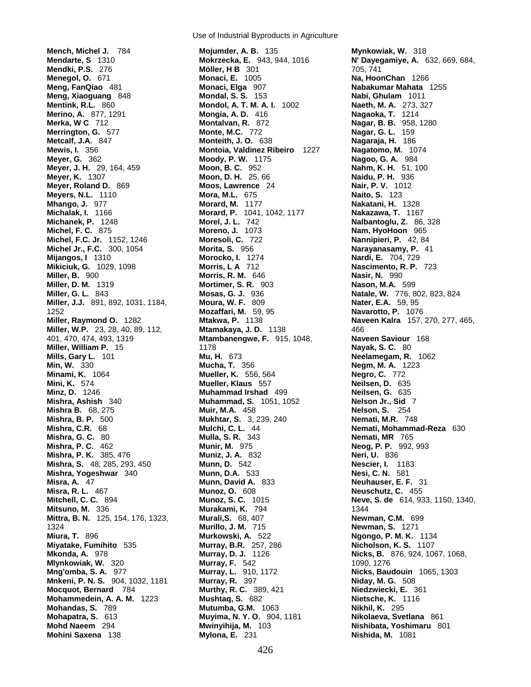**Mench, Michel J.** 784 **Mojumder, A. B.** 135 **Mynkowiak, W.** 318 **Merino, A.** 877, 1291 **Mongia, A. D.** 416<br>**Merka, W.C.** 712 **Montalvan, R.Metcalf, J.A.** 847 **Monteith, J.O.Meyer, G.** 362 **Moody, P. W.Michel, F.C. Jr.** 1152, 1246 **Moresoli, C. 722**<br>**Michel Jr., F.C.** 300, 1054 **Morita, S.Miller, D. M.** 1319 **Mortimer, S. R.** 903 **Miller, G. L.** 843 **Mossas, G. J.Miller, J.J.** 891, 892, 1031, 1184, **Moura, W. F.Mittra, B. N.** 125, 154, 176, 1323, **Murali, S.** 68, 407 **Mohammedein, A. A. M.**

Use of Industrial Byproducts in Agriculture

**Mendki, P.S.** 276 **Möller, H B** 301 705, 741 **Menegol, O.** 671 **Monaci, E.** 1005 **Na, HoonChan** 1266 **Meng, FanQiao** 481 **Monaci, Elga** 907 **Nabakumar Mahata** 1255 **Meng, Xiaoguang** 848 **Mondal, S. S.** 153 **Nabi, Ghulam** 1011 **Mentink, R.L.** 860 **Mondol, A. T. M. A. I.** 1002 **Naeth, M. A.** 273, 327 **Merrington, G.** 577 **Monte, M.C.** 772 **Nagar, G. L.** 159 **Mewis, I.** 356 **Montoia, Valdinez Ribeiro** 1227 **Nagatomo, M.** 1074 **Meyer, J. H.** 29, 164, 459 **Moon, B. C.** 952 **Nahm, K. H.** 51, 100 **Meyer, K.** 1307 **Moon, D. H.** 25, 66 **Naidu, P. H.** 936 **Meyer, Roland D.** 869 **Moos, Lawrence** 24 **Nair, P. V.** 1012 **Meyers, N.L.** 1110 **Mora, M.L.** 675 **Naito, S.** 123 **Mhango, J.** 977 **Morard, M.** 1177 **Nakatani, H.** 1328 **Michalak, I.** 1166 **Morard, P.** 1041, 1042, 1177 **Nakazawa, T.** 1167 **Michanek, P.** 1248 **Morel, J. L.** 742 **Nalbantoglu, Z.** 86, 328 **Moreno, J.** 1073 **Nam, HyoHoon** 965<br>**Moresoli, C.** 722 **Nannipieri, P.** 42, 84 **Michel Jr., F.C.** 300, 1054 **Morita, S.** 956 **Narayanasamy, P.** 41 **Mijangos, I** 1310 **Morocko, I.** 1274 **Nardi, E.** 704, 729 **Mikiciuk, G.** 1029, 1098 **Morris, L A** 712 **Nascimento, R. P.** 723 **Miller, B.** 900 **Morris, R. M.** 646 **Nasir, N.** 990 **Miller, G. L.** 843 **Mosas, G. J.** 936 **Natale, W.** 776, 802, 823, 824 1252 **Mozaffari, M.** 59, 95 **Navarotto, P.** 1076 **Miller, Raymond O.** 1282 **Mtakwa, P.** 1138 **Naveen Kalra** 157, 270, 277, 465, **Miller, W.P.** 23, 28, 40, 89, 112, **Mtamakaya, J. D.** 1138 466 401, 470, 474, 493, 1319 **Mtambanengwe, F.** 915, 1048, **Naveen Saviour** 168 **Miller, William P.** 15 1178 **Nayak, S. C.** 80 **Mills, Gary L.** 101 **Mu, H.** 673 **Neelamegam, R.** 1062 **Min, W.** 330 **Mucha, T.** 356 **Negm, M. A.** 1223 **Minami, K.** 1064 **Mueller, K.** 556, 564 **Negro, C.** 772 **Mini, K.** 574 **Mueller, Klaus** 557 **Neilsen, D.** 635 **Minz, D.** 1246 **Muhammad Irshad** 499 **Neilsen, G.** 635 **Mishra, Ashish** 340 **Muhammad, S.** 1051, 1052 **Nelson Jr., Sid** 7 **Mishra B.** 68, 275 **Muir, M.A.** 458 **Nelson, S.** 254 **Mishra, B. P.** 500 **Mukhtar, S.** 3, 239, 240 **Nemati, M.R.** 748 **Mishra, C.R.** 68 **Mulchi, C. L.** 44 **Nemati, Mohammad-Reza** 630 **Mishra, G. C.** 80 **Mulla, S. R.** 343 **Nemati, MR** 765 **Mishra, P. C.** 462 **Munir, M.** 975 **Neog, P. P.** 992, 993 **Mishra, P. K.** 385, 476 **Muniz, J. A.** 832 **Neri, U.** 836 **Mishra, S.** 48, 285, 293, 450 **Munn, D.** 542 **Nescier, I.** 1183 **Mishra, Yogeshwar** 340 **Munn, D.A.** 533 **Nesi, C. N.** 581 **Misra, A.** 47 **Munn, David A.** 833 **Neuhauser, E. F.** 31 **Munoz, O.** 608 **Neuschutz, C.** 455<br>**Munoz, S. C.** 1015 **Neve, S. de** 614, 93 **Mitsuno, M.** 336 **Murakami, K. 794 1344**<br>**Mittra, B. N.** 125, 154, 176, 1323, **Murali, S.** 68, 407 **139 139 Newman, C.M.** 699 1324 **Murillo, J. M.** 715 **Newman, S.** 1271 **Miura, T.** 896 **Murkowski, A.** 522 **Ngongo, P. M. K.** 1134 **Miyatake, Fumihito** 535 **Murray, B.R.** 257, 286 **Nicholson, K. S.** 1107 **Mkonda, A.** 978 **Murray, D. J.** 1126 **Nicks, B.** 876, 924, 1067, 1068, **Mlynkowiak, W.** 320 **Murray, F.** 542 1090, 1276 **Mng'omba, S. A.** 977 **Murray, L.** 910, 1172 **Nicks, Baudouin** 1065, 1303 **Mnkeni, P. N. S.** 904, 1032, 1181 **Murray, R.** 397 **Niday, M. G.** 508 **Mocquot, Bernard** 784 **Murthy, R. C.** 389, 421 **Niedzwiecki, E.** 361 **Mohandas, S.** 789 **Mutumba, G.M.** 1063 **Nikhil, K.** 295 **Mohapatra, S.** 613 **Muyima, N. Y. O.** 904, 1181 **Nikolaeva, Svetlana** 861 **Mohd Naeem** 294 **Mwinyihija, M.** 103 **Nishibata, Yoshimaru** 801 **Mohini Saxena** 138 **Mylona, E.** 231 **Nishida, M.** 1081

**Mendarte, S** 1310 **Mokrzecka, E.** 943, 944, 1016 **N' Dayegamiye, A.** 632, 669, 684, **Magaoka, T.** 1214<br>**Nagar, B. B.** 958, 1280 **Mitchell, C. C.** 894 **Munoz, S. C.** 1015 **Neve, S. de** 614, 933, 1150, 1340,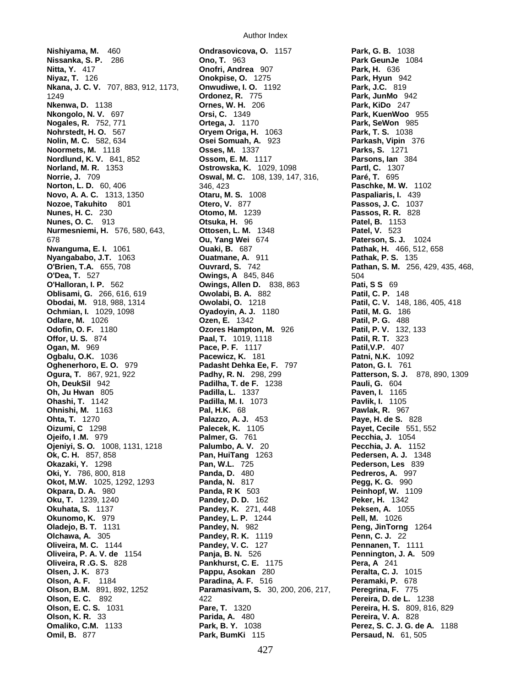**Nishiyama, M.** 460 **Ondrasovicova, O.** 1157 **Park, G. B.** 1038 **Nissanka, S. P.** 286 **Ono, T.** 963 **Park GeunJe** 1084 **Niyaz, T.** 126 **Onokpise, O.** 1275 **Park, Hyun** 942 **Nkana, J. C. V.** 707, 883, 912, 1173, **Onwudiwe, I. O.** 1192 1249 **Ordonez, R.** 775 **Park, JunMo** 942 **Nkenwa, D.** 1138 **Ornes, W. H.** 206 **Park, KiDo** 247 **Nkongolo, N. V.** 697 **Orsi, C.** 1349 **Park, KuenWoo** 955 **Nogales, R.** 752, 771 **Ortega, J.** 1170 **Park, SeWon** 985 **Nohrstedt, H. O.** 567 **Oryem Origa, H.** 1063 **Park, T. S.** 1038 **Nolin, M. C.** 582, 634 **Osei Somuah, A.** 923 **Parkash, Vipin** 376 **Noormets, M.** 1118 **Designation Constrainers, M.** 1337 **Nordlund, K. V.** 841, 852 **Ossom, E. M.** 1117 **Parsons, Ian** 384 **Norland, M. R.** 1353 **Ostrowska, K.** 1029, 1098 **Partl, C.** 1307 **Norrie, J.** 709 **Oswal, M. C.** 108, 139, 147, 316, **Paré, T.** 695 **Norton, L. D.** 60, 406 346, 423 **Paschke, M. W.** 1102 **Novo, A. A. C.** 1313, 1350 **Otaru, M. S.** 1008 **Paspaliaris, I.** 439 **Nozoe, Takuhito** 801 **Otero, V.** 877 **Passos, J. C.** 1037 **Nunes, H. C.** 230 **Otomo, M.** 1239 **Passos, R. R.** 828 **Nunes, O. C.** 913 **Otsuka, H.** 96 **Patel, B.** 1153 **Nurmesniemi, H.** 576, 580, 643, **Ottosen, L. M.** 1348 **Patel, V.** 523 678 **Ou, Yang Wei** 674 **Paterson, S. J.** 1024 **Nwanguma, E. I.** 1061 **Ouaki, B.** 687 **Pathak, H.** 466, 512, 658 **Nyangababo, J.T.** 1063 **Ouatmane, A.** 911 **Pathak, P. S.** 135 **O'Brien, T.A.** 655, 708 **Ouvrard, S.** 742 **Pathan, S. M.** 256, 429, 435, 468, **O'Dea, T.** 527 **Owings, A** 845, 846 504 **Oblisami, G.** 266, 616, 619 **Owolabi, B. A.** 882 **Obodai, M.** 918, 988, 1314 **Owolabi, O.** 1218 **Patil, C. V.** 148, 186, 405, 418 **Ochmian, I.** 1029, 1098 **Dyadoyin, A. J.** 1180 **Odlare, M.** 1026 **Ozen, E. 1342 Patil, P. G. 488**<br> **Odofin, O. F.** 1180 **Ozores Hampton, M.** 926 **Patil, P. V.** 132, 133 **Offor, U. S.** 874 **Paal, T.** 1019, 1118 **Ogan, M.** 969 **Pace, P. F.** 1117 **Patil,V.P.** 407 **Ogbalu, O.K.** 1036 **Pacewicz, K.** 181 **Patni, N.K.** 1092 **Oghenerhoro, E. O.** 979 **Padasht Dehka Ee, F.** 797 **Paton, G. I.** 761 **Ogura, T.** 867, 921, 922 **Padhy, R. N.** 298, 299 **Patterson, S. J.** 878, 890, 1309 **Oh, DeukSil** 942 **Padilha, T. de F.** 1238 **Pauli, G.** 604 **Oh, Ju Hwan** 805 **Padilla, L.** 1337 **Paven, I.** 1165 **Ohashi, T.** 1142 **Padilla, M. I.** 1073 **Pavlik, I.** 1105 **Ohnishi, M.** 1163 **Pal, H.K.** 68 **Pawlak, R.** 967 **Ohta, T.** 1270 **Palazzo, A. J.** 453 **Paye, H. de S.** 828 **Oizumi, C** 1298 **Palecek, K.** 1105 **Payet, Cecile** 551, 552 **Ojeifo, I .M.** 979 **Palmer, G.** 761 **Pecchia, J.** 1054 **Ojeniyi, S. O.** 1008, 1131, 1218 **Palumbo, A. V.** 20 **Pecchia, J. A.** 1152 **Ok, C. H.** 857, 858 **Pan, HuiTang** 1263 **Pedersen, A. J.** 1348 **Okazaki, Y.** 1298 **Pan, W.L.** 725 **Pederson, Les** 839 **Oki, Y.** 786, 800, 818 **Panda, D.** 480 **Pedreros, A.** 997 **Okot, M.W.** 1025, 1292, 1293 **Panda, N.** 817 **Pegg, K. G.** 990 **Okpara, D. A.** 980 **Panda, R K** 503 **Peinhopf, W.** 1109 **Oku, T.** 1239, 1240 **Pandey, D. D.** 162 **Peker, H.** 1342 **Okuhata, S.** 1137 **Pandey, K.** 271, 448 **Peksen, A.** 1055 **Oladejo, B. T.** 1131 **Pandey, N.** 982 **Peng, JinTorng** 1264 **Olchawa, A.** 305 **Pandey, R. K.** 1119 **Penn, C. J.** 22 **Oliveira, M. C.** 1144 **Pandey, V. C.** 127 **Pennanen, T.** 1111 **Oliveira, P. A. V. de** 1154 **Panja, B. N.** 526 **Pennington, J. A.** 509 **Oliveira, R.G. S.** 828 **Pankhurst, C. E.** 1175 **Olsen, J. K.** 873 **Pappu, Asokan** 280 **Peralta, C. J.** 1015 **Olson, A. F.** 1184 **Paradina, A. F.** 516 **Peramaki, P.** 678 **Olson, B.M.** 891, 892, 1252 **Paramasivam, S.** 30, 200, 206, 217, **Peregrina, F.** 775 **Olson, E. C.** 892 422 **Pereira, D. de L.** 1238 **Olson, E. C. S.** 1031 **Pare, T.** 1320 **Pereira, H. S.** 809, 816, 829 **Olson, K. R.** 33 **Parida, A.** 480 **Pereira, V. A.** 828 **Omaliko, C.M.** 1133 **Park, B. Y.** 1038 **Perez, S. C. J. G. de A.** 1188 **Omil, B.** 877 **Park, BumKi** 115 **Persaud, N.** 61, 505

**Nitta, Y.** 417 **Onofri, Andrea** 907 **Park, H.** 636 **Owings, Allen D.** 838, 863 **Pati, S S** 69<br>**Owolabi, B. A.** 882 **Patil, C. P.Ozores Hampton, M.** 926 **Patil, P. V.** 132<br>**Paal, T.** 1019, 1118 **Patil, R. T.Pandey, L. P.** 1244 **Pell, M.**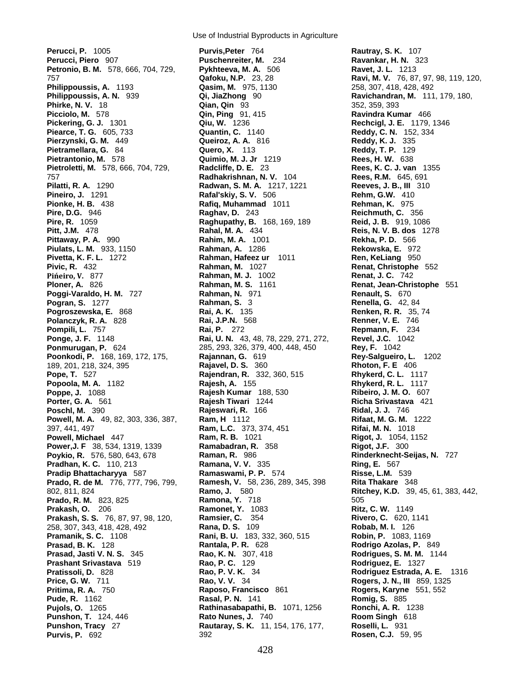Use of Industrial Byproducts in Agriculture

**Perucci, P.** 1005 **Purvis,Peter** 764 **Rautray, S. K.** 107 **Perucci, Piero** 907 **Puschenreiter, M.** 234 **Ravankar, H. N.** 323 **Petronio, B. M.** 578, 666, 704, 729, **Pykhteeva, M. A.** 506 **Petronio, B. M.** 578, 666, 704, 729, **Pykhteeva, M. A.** 506 **Ravet, J. L. 1213**<br>757 **Gafoku, N.P.** 23, 28 **Ravi, M. V. 76, 87, 97, 98, 119, 120**, **Philippoussis, A.** 1193 **Qasim, M.** 975, 1130 258, 307, 418, 428, 492 **Philippoussis, A. N.** 939 **Qi, JiaZhong** 90 **Ravichandran, M.** 111, 179, 180, **Phirke, N. V.** 18 **Qian, Qin** 93 352, 359, 393 **Picciolo, M.** 578 **Qin, Ping** 91, 415 **Ravindra Kumar** 466 **Pickering, G. J.** 1301 **Qiu, W.** 1236 **Rechcigl, J. E.** 1179, 1346 **Piearce, T. G.** 605, 733 **Quantin, C.** 1140 **Reddy, C. N.** 152, 334 **Pierzynski, G. M.** 449 **Queiroz, A. A.** 816 **Reddy, K. J.** 335 **Pietramellara, G.** 84 **Quero, X.** 113 **Reddy, T. P.** 129 **Pietrantonio, M. 578 Pietroletti, M.** 578, 666, 704, 729, **Radcliffe, D. E.** 23 **Rees, K. C. J. van** 1355 757 **Radhakrishnan, N. V.** 104 **Rees, R.M.** 645, 691 **Pilatti, R. A.** 1290 **Radwan, S. M. A.** 1217, 1221 **Reeves, J. B., III** 310 **Pineiro, J.** 1291 **Rafal'skiy, S. V.** 506 **Rehm, G.W.** 410 **Pionke, H. B.** 438 **Rafiq, Muhammad** 1011 **Rehman, K.** 975 **Pire, D.G.** 946 **Raghav, D.** 243 **Reichmuth, C.** 356 **Pire, R.** 1059 **Raghupathy, B.** 168, 169, 189 **Reid, J. B.** 919, 1086 **Pitt, J.M.** 478 **Rahal, M. A.** 434 **Reis, N. V. B. dos** 1278 **Pittaway, P. A.** 990 **Rahim, M. A.** 1001 **Rekha, P. D.** 566 **Piulats, L. M.** 933, 1150 **Rahman, A.** 1286 **Rekowska, E.** 972 **Pivic, R.** 432 **Rahman, M.** 1027 **Renat, Christophe** 552 **Pińeiro, V.** 877 **Rahman, M. J.** 1002 **Renat, J. C.** 742 **Poggi-Varaldo, H. M.** 727 **Rahman, N.** 971 **Renault, S.** 670 **Pogroszewska, E.** 868 **Rai, A. K.** 135 **Renken, R. R.** 35, 74 **Polanczyk, R. A.** 828 **Rai, J.P.N.** 568 **Renner, V. E.** 746 **Ponge, J. F.** 1148 **Rai, U. N.** 43, 48, 78, 229, 271, 272, **Revel, J.C.** 1<br>**Ponmurugan, P.** 624 285, 293, 326, 379, 400, 448, 450 **Rey, F.** 1042 **Ponmurugan, P.** 624 285, 293, 326, 379, 400, 448, 450 **Poonkodi, P.** 168, 169, 172, 175, **Rajannan, G.** 619 **Rey-Salgueiro, L.** 1202 189, 201, 218, 324, 395 **Rajavel, D. S.** 360 **Rhoton, F. E** 406 **Pope, T.** 527 **Rajendran, R.** 332, 360, 515 **Rhykerd, C. L.** 1117 **Popoola, M. A.** 1182 **Rajesh, A.** 155 **Rhykerd, R. L.** 1117 **Poppe, J.** 1088 **Rajesh Kumar** 188, 530 **Porter, G. A.** 561 **Rajesh Tiwari** 1244 **Richa Srivastava** 421 **Poschl, M.** 390 **Rajeswari, R.** 166 **Ridal, J. J.** 746 **Powell, M. A.** 49, 82, 303, 336, 387, **Ram, H** 1112 **Rifaat, M. G. M. 1222**<br>397. 441. 497 **Ram, L.C.** 373, 374, 451 **Rifai, M. N.** 1018 **Ram, L.C.** 373, 374, 451 **Powell, Michael** 447 **Ram, R. B.** 1021 **Rigot, J.** 1054, 1152 **Power,J. F** 38, 534, 1319, 1339 **Ramabadran, R.** 358 **Rigot, J.F.** 300 **Poykio, R.** 576, 580, 643, 678 **Raman, R.** 986 **Rinderknecht-Seijas, N.** 727 **Pradhan, K. C.** 110, 213 **Ramana, V. V.** 335 **Ring, E.** 567 **Pradip Bhattacharyya** 587 **Ramaswami, P. P.** 574 **Risse, L.M.** 539 **Prado, R. de M.** 776, 777, 796, 799, 802, 811, 824 **Ramo, J.** 580 **Ritchey, K.D.** 39, 45, 61, 383, 442, **Prado, R. M.** 823, 825 **Ramona, Y.** 718 **Ramona, Y. 828** 505 **Prakash, O.** 206 **Ramonet, Y.** 1083 **Ritz, C. W.** 1149 **Prakash, S. S.** 76, 87, 97, 98, 120, **Ramsier, C.** 354 **Rivero, C.** 620, 1141 258, 307, 343, 418, 428, 492 **Rana, D. S.** 109 **Robab, M. I.** 126 **Pramanik, S. C.** 1108 **Rani, B. U.** 183, 332, 360, 515 **Prasad, B. K.** 128 **Rantala, P. R.** 628 **Rodrigo Azolas, P.** 849 **Prasad, Jasti V. N. S.** 345 **Rao, K. N.** 307, 418 **Rodrigues, S. M. M.** 1144 **Prashant Srivastava** 519 **Rao, P. C.** 129 **Rodriguez, E.** 1327 **Pratissoli, D.** 828 **Rao, P. V. K.** 34 **Rodriguez Estrada, A. E.** 1316 **Price, G. W.** 711 **Rao, V. V.** 34 **Rogers, J. N., III** 859, 1325 **Pritima, R. A.** 750 **Raposo, Francisco** 861 **Rogers, Karyne** 551, 552 **Pude, R.** 1162 **Rasal, P. N.** 141 **Romig, S.** 885 **Pujols, O.** 1265 **Rathinasabapathi, B.** 1071, 1256 **Punshon, T.** 124, 446 **Rato Nunes, J.** 740 **Room Singh** 618 **Punshon, Tracy** 27 **Rautaray, S. K.** 11, 154, 176, 177, **Roselli, L.** 931 **Purvis, P.** 692 392 **Rosen, C.J.** 59, 95

**Rahman, Hafeez ur** 1011 **Ren, KeLiang** 950 **Rahman, M. S.** 1161 **Renat, Jean-Christophe** 551 **Rahman, N. 971 Renault, S. 670 Rahman, S.** 3 **Renella, G.** 42, 84<br>**Rai, A. K.** 135 **Renken, R. R.** 35, **Rai, P.** 272 **Repmann, F.** 234 **Rai, U. N.** 43, 48, 78, 229, 271, 272, **Revel, J.C.** 1042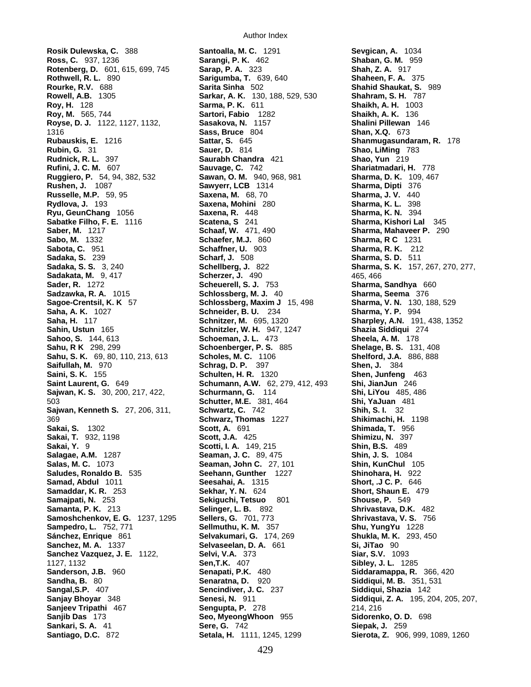**Rosik Dulewska, C.** 388 **Santoalla, M. C.** 1291 **Sevgican, A.** 1034 **Ross, C.** 937, 1236 **Sarangi, P. K.** 462 **Shaban, G. M.** 959 **Rotenberg, D.** 601, 615, 699, 745 **Sarap, P. A.** 323 **Rothwell, R. L.** 890 **Sarigumba, T.** 639, 640 **Shaheen, F. A.** 375 **Rourke, R.V.** 688 **Sarita Sinha** 502 **Shahid Shaukat, S.** 989 **Rowell, A.B.** 1305 **Sarkar, A. K.** 130, 188, 529, 530 **Shahram, S. H.** 787 **Roy, H.** 128 **Sarma, P. K.** 611 **Shaikh, A. H.** 1003 **Roy, M.** 565, 744 **Sartori, Fabio** 1282 **Shaikh, A. K.** 136 **Royse, D. J.** 1122, 1127, 1132, **Sasakova, N.** 1157 **Shalini Pillewan** 146 1316 **Sass, Bruce** 804 **Shan, X.Q.** 673 **Rubauskis, E.** 1216 **Sattar, S.** 645 **Shanmugasundaram, R.** 178 **Rubin, G.** 31 **Sauer, D.** 814 **Shao, LiMing** 783 **Rudnick, R. L.** 397 **Saurabh Chandra** 421 **Shao, Yun** 219 **Rufini, J. C. M.** 607 **Sauvage, C.** 742 **Shariatmadari, H.** 778 **Ruggiero, P.** 54, 94, 382, 532 **Sawan, O. M.** 940, 968, 981 **Sharma, D. K.** 109, 467<br>**Rushen, J.** 1087 **Sawyerr, LCB** 1314 **Sharma, Dipti** 376 **Russelle, M.P.** 59, 95 **Saxena, M.** 68, 70 **Sharma, J. V.** 440 **Rydlova, J.** 193 **Saxena, Mohini** 280 **Sharma, K. L.** 398 **Ryu, GeunChang** 1056 **Saxena, R.** 448 **Sharma, K. N.** 394 **Sabatke Filho, F. E.** 1116 **Scatena, S** 241 **Sharma, Kishori Lal** 345 **Saber, M.** 1217 **Schaaf, W.** 471, 490 **Sharma, Mahaveer P.** 290 **Sabo, M.** 1332 **Schaefer, M.J.** 860 **Sharma, R C** 1231 **Sabota, C.** 951 **Schaffner, U.** 903 **Sharma, R. K.** 212 **Sadaka, S.** 239 **Scharf, J.** 508 **Sharma, S. D.** 511 **Sadaka, S. S.** 3, 240 **Schellberg, J.** 822 **Sharma, S. K.** 157, 267, 270, 277, **Sadakata, M.** 9, 417 **Scherzer, J. 490 Scheizer, J. 490** 465, 466<br> **Sader, R. 1272 Scheuerell, S. J. 753 Sharma, Sadzawka, R. A.** 1015 **Schlossberg, M. J.** 40 **Sharma, Seema** 376 **Sagoe-Crentsil, K. K** 57 **Schlossberg, Maxim J** 15, 498 **Saha, A. K.** 1027 **Schneider, B. U.** 234 **Sharma, Y. P.** 994 **Saha, H.** 117 **Schnitzer, M.** 695, 1320 **Sharpley, A.N.** 191, 438, 1352 **Sahin, Ustun** 165 **Schnitzler, W. H.** 947, 1247 **Shazia Siddiqui** 274 **Sahoo, S.** 144, 613 **Schoeman, J. L.** 473<br> **Sahu, R K** 298, 299 **Schoenberger, P. S. Sahu, S. K.** 69, 80, 110, 213, 613 **Scholes, M. C.** 1106 **Saifullah, M.** 970 **Schrag, D. P.** 397 **Shen, J.** 384 **Saint Laurent, G.** 649 **Schumann, A.W.** 62, 279, 412, 493 **Shi, JianJun** 246 **Sajwan, K. S.** 30, 200, 217, 422, **Schurmann, G.** 114 **Shi, LiYou** 485, 486 503 **Schutter, M.E.** 381, 464 **Shi, YaJuan** 481 **Sajwan, Kenneth S.** 27, 206, 311, **Schwartz, C.** 742 **Shih, S. I.** 32 369 **Schwarz, Thomas** 1227 **Shikimachi, H.** 1198 **Sakai, S.** 1302 **Scott, A.** 691 **Shimada, T.** 956 **Sakai, T.** 932, 1198 **Scott, J.A.** 425 **Shimizu, N.** 397 **Sakai, Y.** 9 **Scotti, I. A.** 149, 215 **Shin, B.S.** 489 **Salagae, A.M.** 1287 **Seaman, J. C.** 89, 475 **Shin, J. S.** 1084 **Salas, M. C.** 1073 **Seaman, John C.** 27, 101 **Shin, KunChul** 105 **Saludes, Ronaldo B.** 535 **Seehann, Gunther** 1227 **Shinohara, H.** 922 **Samad, Abdul** 1011 **Seesahai, A.** 1315 **Short, .J C. P.** 646 **Samaddar, K. R.** 253 **Sekhar, Y. N.** 624 **Short, Shaun E.** 479 **Samajpati, N. 253 <b>Sekiguchi, Tetsuo** 801 **Samanta, P. K.** 213 **Selinger, L. B.** 892 **Shrivastava, D.K.** 482 **Samoshchenkov, E. G.** 1237, 1295 **Sampedro, L.** 752, 771 **Sellmuthu, K. M.** 357 **Shu, YungYu** 1228 **Sánchez, Enrique** 861 **Selvakumari, G.** 174, 269 **Shukla, M. K.** 293, 450 **Sanchez, M. A.** 1337 **Selvaseelan, D. A.** 661 **Si, JiTao** 90 **Sanchez Vazquez, J. E.** 1122, **Selvi, V.A.** 373 1127, 1132 **Sen,T.K.** 407 **Sibley, J. L.** 1285 **Sanderson, J.B.** 960 **Senapati, P.K.** 480 **Siddaramappa, R.** 366, 420 **Sandha, B.** 80 **Senaratna, D.** 920 **Siddiqui, M. B.** 351, 531 **Sangal,S.P.** 407 **Sencindiver, J. C.** 237 **Siddiqui, Shazia** 142 **Sanjay Bhoyar** 348 **Senesi, N.** 911 **Siddiqui, Z. A.** 195, 204, 205, 207, **Sanjeev Tripathi** 467 **Sengupta, P.** 278 214, 216 **Sanjib Das** 173 **Seo, MyeongWhoon** 955 **Sidorenko, O. D.** 698 **Sankari, S. A.** 41 **Sere, G.** 742 **Santiago, D.C.** 872 **Setala, H.** 1111, 1245, 1299 **Sierota, Z.** 906, 999, 1089, 1260

**Sawyerr, LCB** 1314 **Sharma, Dipti** 376 **Schoenberger, P. S.** 885 **Shelage, B. S.** 131, 408<br>**Scholes, M. C.** 1106 **Shelford, J.A.** 886, 888 **Schulten, H. R.** 1320 **Shen, Junfeng** 463

**Sharma, Sandhya 660**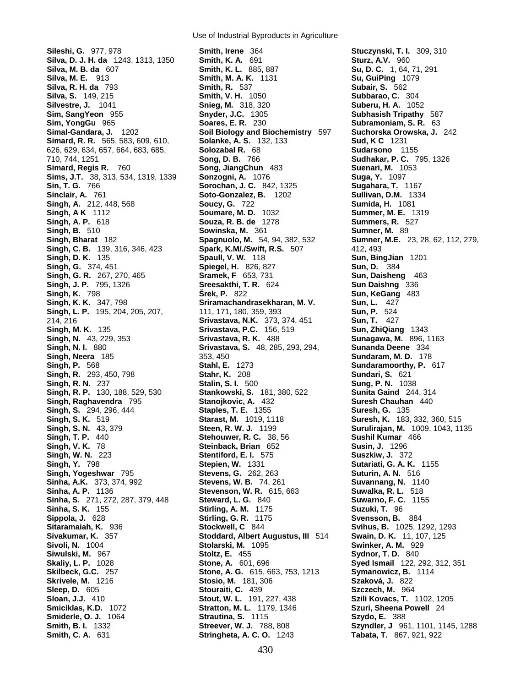Use of Industrial Byproducts in Agriculture

**Singh, J. P.** 795, 1326<br>**Singh, K.Smiderle, O. J.** 1064 **Strautina, S.Smith, B. I.** 1332 **Streever, W. J.** 788, 808 **Szyndler, J** 961, 1101, 1145, 1288 **Smith, C. A.** 631 **Stringheta, A. C. O.**

**Sileshi, G.** 977, 978 **Smith, Irene** 364 **Stuczynski, T. I.** 309, 310 **Silva, D. J. H. da** 1243, 1313, 1350 **Smith, K. A.** 691 **Sturz, A.V.** 960 **Silva, M. B. da** 607 **Smith, K. L.** 885, 887 **Su, D. C.** 1, 64, 71, 291 **Silva, M. E.** 913 **Smith, M. A. K.** 1131 **Su, GuiPing** 1079 **Silva, R. H. da** 793 **Smith, R.** 537 **Subair, S.** 562 **Silva, S.** 149, 215 **Smith, V. H.** 1050 **Subbarao, C.** 304 **Silvestre, J.** 1041 **Snieg, M.** 318, 320 **Suberu, H. A.** 1052 **Sim, SangYeon** 955 **Snyder, J.C.** 1305 **Subhasish Tripathy** 587 **Sim, YongGu** 965 **Soares, E. R.** 230 **Subramoniam, S. R.** 63 **Simal-Gandara, J.** 1202 **Soil Biology and Biochemistry** 597 **Suchorska Orowska, J.** 242 **Simard, R. R.** 565, 583, 609, 610, **Solanke, A. S.** 132, 133 **Sud, K C** 1231 626, 629, 634, 657, 664, 683, 685, **Solozabal R.** 68 **Sudarsono** 1155 710, 744, 1251 **Song, D. B.** 766 **Sudhakar, P. C.** 795, 1326 **Simard, Regis R.** 760 **Song, JiangChun** 483 **Suenari, M.** 1053 **Sims, J.T.** 38, 313, 534, 1319, 1339 **Sonzogni, A.** 1076 **Suga, Y.** 1097 **Sin, T. G.** 766 **Sorochan, J. C.** 842, 1325 **Sugahara, T.** 1167 **Sinclair, A.** 761 **Soto-Gonzalez, B.** 1202 **Sullivan, D.M.** 1334 **Singh, A.** 212, 448, 568 **Soucy, G.** 722 **Sumida, H.** 1081 **Singh, A K** 1112 **Soumare, M. D.** 1032 **Summer, M. E.** 1319 **Singh, A. P.** 618 **Souza, R. B. de** 1278 **Summers, R.** 527 **Singh, B.** 510 **Sowinska, M.** 361 **Sumner, M.** 89 **Singh, Bharat** 182 **Spagnuolo, M.** 54, 94, 382, 532 **Sumner, M.E.** 23, 28, 62, 112, 279, **Singh, C. B.** 139, 316, 346, 423 **Spark, K.M/./Swift, R.S.** 507 412, 493 **Singh, D. K.** 135 **Spaull, V. W.** 118 **Sun, BingJian** 1201 **Singh, G.** 374, 451 **Spiegel, H.** 826, 827 **Sun, D.** 384 **Singh, G. R.** 267, 270, 465 **Sramek, F** 653, 731 **Sun, Daisheng** 463 **Singh, K.** 798 **Šrek, P.** 822 **Sun, KeGang** 483 **Sriramachandrasekharan, M. V. Sun, L.** 427 **Singh, L. P.** 195, 204, 205, 207, 111, 171, 180, 359, 393 **Sun, P.** 524 214, 216 **Srivastava, N.K.** 373, 374, 451 **Sun, T.** 427 **Singh, M. K.** 135 **Srivastava, P.C.** 156, 519 **Sun, ZhiQiang** 1343 **Singh, N.** 43, 229, 353 **Srivastava, R. K.** 488 **Sunagawa, M.** 896, 1163 **Singh, N. I.** 880 **Srivastava, S.** 48, 285, 293, 294, **Sunanda Deene** 334 **Singh, Neera** 185 353, 450 **Sundaram, M. D.** 178 **Singh, P.** 568 **Stahl, E.** 1273 **Sundaramoorthy, P.** 617 **Singh, R.** 293, 450, 798 **Stahr, K.** 208 **Sundari, S.** 621 **Singh, R. N.** 237 **Stalin, S. I.** 500 **Sung, P. N.** 1038 **Singh, R. P.** 130, 188, 529, 530 **Stankowski, S.** 181, 380, 522 **Sunita Gaind** 244, 314 **Singh, Raghavendra** 795 **Stanojkovic, A.** 432 **Suresh Chauhan** 440 **Singh, S.** 294, 296, 444 **Staples, T. E.** 1355 **Suresh, G.** 135 **Singh, S. K.** 519 **Starast, M.** 1019, 1118 **Suresh, K.** 183, 332, 360, 515 **Singh, S. N.** 43, 379 **Steen, R. W. J.** 1199 **Surulirajan, M.** 1009, 1043, 1135 **Singh, T. P.** 440 **Stehouwer, R. C.** 38, 56 **Sushil Kumar** 466 **Singh, V. K.** 78 **Steinback, Brian** 652 **Susin, J.** 1296 **Singh, W. N.** 223 **Stentiford, E. I.** 575 **Suszkiw, J.** 372 **Singh, Y.** 798 **Stepien, W.** 1331 **Sutariati, G. A. K.** 1155 **Singh, Yogeshwar** 795 **Stevens, G.** 262, 263 **Suturin, A. N.** 516 **Sinha, A.K.** 373, 374, 992 **Stevens, W. B.** 74, 261 **Suvannang, N.** 1140 **Sinha, A. P.** 1136 **Stevenson, W. R.** 615, 663 **Suwalka, R. L.** 518 **Sinha, S.** 271, 272, 287, 379, 448 **Steward, L. G.** 840 **Suwarno, F. C.** 1155 **Sinha, S. K.** 155 **Stirling, A. M.** 1175 **Suzuki, T.** 96 **Stirling, G. R. 1175 Sitaramaiah, K.** 936 **Stockwell, C** 844 **Svihus, B.** 1025, 1292, 1293 **Sivakumar, K.** 357 **Stoddard, Albert Augustus, III** 514 **Swain, D. K.** 11, 107, 125 **Sivoli, N.** 1004 **Stolarski, M.** 1095 **Swinker, A. M.** 929 **Siwulski, M.** 967 **Stoltz, E.** 455 **Sydnor, T. D.** 840 **Skaliy, L. P.** 1028 **Stone, A.** 601, 696 **Syed Ismail** 122, 292, 312, 351 **Skilbeck, G.C.** 257 **Stone, A. G.** 615, 663, 753, 1213 **Symanowicz, B.** 1114 **Skrivele, M.** 1216 **Stosio, M.** 181, 306 **Szaková, J.** 822 **Sleep, D.** 605 **Stouraiti, C.** 439 **Szczech, M.** 964 **Sloan, J.J.** 410 **Stout, W. L.** 191, 227, 438 **Szili Kovacs, T.** 1102, 1205 **Smiciklas, K.D.** 1072 **Stratton, M. L.** 1179, 1346 **Szuri, Sheena Powell** 24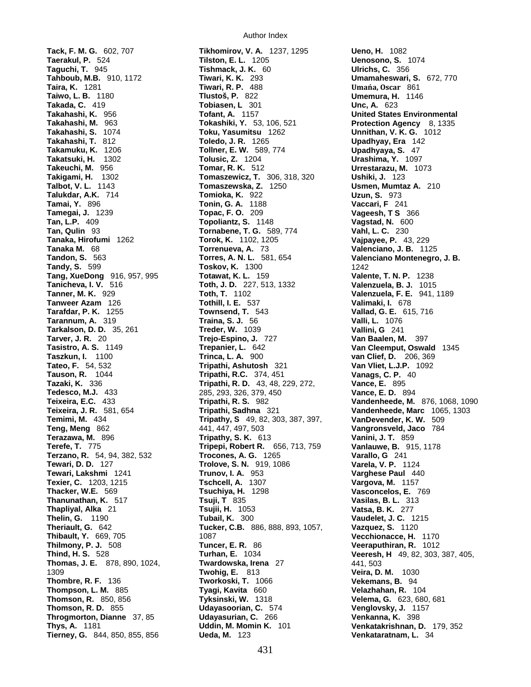**Taguchi, T.** 945 **Tishmack, J. K.** 60<br>**Tahboub, M.B.** 910, 1172 **Tiwari, K. K.Tamai, Y.** 896 **Tonin, G. A.Tanicheva, I. V.** 516 **Toth, J. D.** 227, 513, 1332 **Tanweer Azam** 126 **Tothill, I. E.** 537<br>**Tarafdar, P. K.** 1255 **Townsend, T.Tarannum, A.** 319 **Traina, S. J.Tedesco, M.J.** 433 285, 293, 326, 379, 450<br>**Teixeira, E.C.** 433 **Tripathi, R. S.**

Author Index

**Tack, F. M. G.** 602, 707 **Tikhomirov, V. A.** 1237, 1295 **Ueno, H.** 1082 **Tilston, E. L.** 1205 **Uenosono, S.** 1074<br>**Tishmack, J. K.** 60 **Ulrichs, C.** 356 **Tahboub, M.B.** 910, 1172 **Tiwari, K. K.** 293 **Umamaheswari, S.** 672, 770 **Taira, K.** 1281 **Tiwari, R. P.** 488 **Umańa, Oscar** 861 **Taiwo, L. B.** 1180 **Tlustoš, P.** 822 **Umemura, H.** 1146 **Takada, C.** 419 **Tobiasen, L** 301 **Unc, A.** 623 **Takahashi, K.** 956 **Tofant, A.** 1157 **United States Environmental Takahashi, S.** 1074 **Toku, Yasumitsu** 1262 **Unnithan, V. K. G.** 1012 **Takahashi, T.** 812 **Toledo, J. R.** 1265 **Upadhyay, Era** 142 **Takamuku, K.** 1206 **Tollner, E. W.** 589, 774 **Upadhyaya, S.** 47 **Takatsuki, H.** 1302 **Tolusic, Z.** 1204 **Urashima, Y.** 1097 **Takeuchi, M.** 956 **Tomar, R. K.** 512 **Urrestarazu, M.** 1073 **Takigami, H.** 1302 **Tomaszewicz, T.** 306, 318, 320 **Ushiki, J.** 123 **Talbot, V. L.** 1143 **Tomaszewska, Z.** 1250 **Usmen, Mumtaz A.** 210 **Talukdar, A.K.** 714 **Tomioka, K.** 922 **Uzun, S.** 973 **Tamegai, J.** 1239 **Topac, F. O.** 209 **Vageesh, T S** 366 **Tan, L.P.** 409 **Topoliantz, S.** 1148 **Vagstad, N.** 600 **Tan, Qulin** 93 **Tornabene, T. G.** 589, 774 **Vahl, L. C.** 230 **Tanaka, Hirofumi** 1262 **Torok, K.** 1102, 1205 **Vajpayee, P.** 43, 229 **Tanaka M.** 68 **Torrenueva, A.** 73 **Valenciano, J. B.** 1125 **Tandon, S.** 563 **Torres, A. N. L.** 581, 654 **Valenciano Montenegro, J. B. Toskov, K.** 1300 1242 **Tang, XueDong** 916, 957, 995 **Totawat, K. L.** 159 **Valente, T. N. P.** 1238 **Tanicheva. I. V.** 516 **T. P. 1238 Tanicheva. I. V.** 516 **T. A. I. 1015 Tanner, M. K.** 929 **Toth, T.** 1102 **Valenzuela, F. E.** 941, 1189 **Tarkalson, D. D.** 35, 261 **Treder, W.** 1039 **Vallini, G** 241 **Tarver, J. R.** 20 **Trejo-Espino, J.** 727 **Van Baalen, M.** 397 **Tasistro, A. S.** 1149 **Trepanier, L.** 642 **Van Cleemput, Oswald** 1345 **Tateo, F.** 54, 532 **Tripathi, Ashutosh** 321 **Van Vliet, L.J.P.** 1092 **Tauson, R.** 1044 **Tripathi, R.C.** 374, 451 **Vanags, C. P.** 40 **Tripathi, R. D.** 43, 48, 229, 272, **Vance, E.** 895<br>285, 293, 326, 379, 450 **Vance, E. D.** 894 **Teixeira, J. R.** 581, 654 **Tripathi, Sadhna** 321 **Vandenheede, Marc** 1065, 1303 **Temimi, M.** 434 **Tripathy, S** 49, 82, 303, 387, 397, **VanDevender, K. W.** 509 **Teng, Meng** 862 441, 447, 497, 503 **Vangronsveld, Jaco** 784 **Terazawa, M.** 896 **Tripathy, S. K.** 613 **Vanini, J. T.** 859 **Terefe, T.** 775 **Tripepi, Robert R.** 656, 713, 759 **Terzano, R.** 54, 94, 382, 532 **Trocones, A. G.** 1265 **Varallo, G** 241 **Tewari, D. D.** 127 **Trolove, S. N.** 919, 1086 **Varela, V. P.** 1124 **Tewari, Lakshmi** 1241 **Trunov, I. A.** 953 **Varghese Paul** 440 **Texier, C.** 1203, 1215 **Tschcell, A.** 1307 **Vargova, M.** 1157 **Thanunathan, K.** 517 **Tsuji, T** 835 **Vasilas, B. L.** 313 **Thapliyal, Alka** 21 **Tsujii, H.** 1053 **Vatsa, B. K.** 277 **Thelin, G.** 1190 **Tubail, K.** 300 **Vaudelet, J. C.** 1215 **Tucker, C.B.** 886, 888, 893, 1057, **Thibault, Y.** 669, 705 1087 1087 1087 1087 **Vecchionacce, H.** 1170<br> **Tuncer, E. R.** 86 **Veeraputhiran, R.** 1012 **Thilmony, P. J.** 508 **Tuncer, E. R.** 86 **Veeraputhiran, R.** 1012 **Turhan, E.** 1034 **Veeresh, H** 49, 82, 303, 387, 405, **Thomas, J. E.** 878, 890, 1024, **Twardowska, Irena** 27 441, 503 1309 **Twohig, E.** 813 **Veira, D. M.** 1030 **Thombre, R. F.** 136 **Tworkoski, T.** 1066 **Vekemans, B.** 94 **Thompson, L. M.** 885 **Tyagi, Kavita** 660 **Velazhahan, R.** 104 **Thomson, R.** 850, 856 **Tyksinski, W.** 1318 **Velema, G.** 623, 680, 681 **Thomson, R. D.** 855 **Udayasoorian, C.** 574 **Venglovsky, J.** 1157 **Throgmorton, Dianne** 37, 85 **Udayasurian, C.** 266 **Venkanna, K.** 398 **Tierney, G.** 844, 850, 855, 856 **Ueda, M.** 123 **Venkataratnam, L.** 34

**Protection Agency** 8, 1335 **Vallad, G. E.** 615, 716<br>**Valli, L.** 1076 **van Clief, D.** 206, 369 **Vandenheede, M.** 876, 1068, 1090 **Vasconcelos, E.** 769 **Venkatakrishnan, D.** 179, 352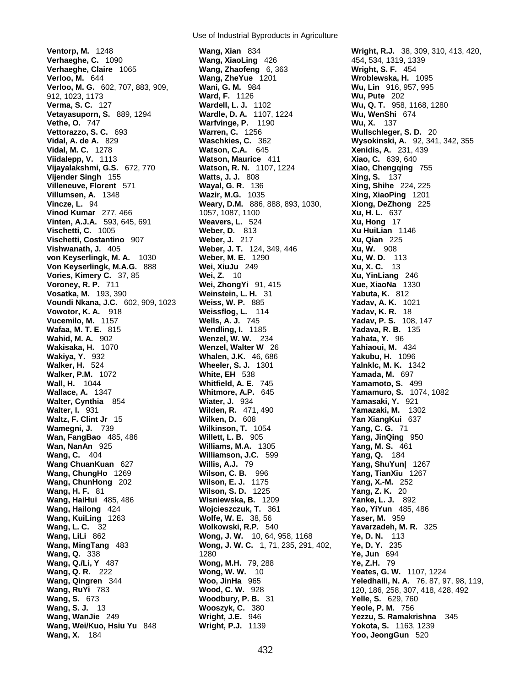**Ventorp, M.** 1248 **Wang, Xian** 834 **Wright, R.J.** 38, 309, 310, 413, 420, **Verhaeghe, C.** 1090 **Wang, XiaoLing** 426 454, 534, 1319, 1339 **Verhaeghe, Claire** 1065 **Wang, Zhaofeng** 6, 363 **Wright, S. F.** 454 **Verloo, M.** 644 **Wang, ZheYue** 1201 **Wroblewska, H.** 1095 **Verloo, M. G.** 602, 707, 883, 909, **Wani, G. M.** 984 **Wu, Lin** 916, 957, 995 912, 1023, 1173 **Ward, F.** 1126 **Wu, Pute** 202 **Verma, S. C.** 127 **Wardell, L. J.** 1102 **Wu, Q. T.** 958, 1168, 1280 **Vetayasuporn, S.** 889, 1294 **Wardle, D. A.** 1107, 1224 **Wu, WenShi** 674 **Vethe, O.** 747 **Warfvinge, P.** 1190 **Wu, X.** 137 **Vettorazzo, S. C.** 693 **Warren, C.** 1256 **Wullschleger, S. D.** 20 **Vidal, A. de A.** 829 **Waschkies, C.** 362 **Wysokinski, A.** 92, 341, 342, 355 **Vidal, M. C.** 1278 **Watson, C.A.** 645 **Xenidis, A.** 231, 439 **Vijayalakshmi, G.S.** 672, 770 **Watson, R. N.** 1107, 1224 **Xiao, Chengqing** 755 **Vijender Singh** 155 **Watts, J. J.** 808 **Xing, S.** 137 **Villeneuve, Florent** 571 **Wayal, G. R.** 136 **Xing, Shihe** 224, 225 **Villumsen, A.** 1348 **Wazir, M.G.** 1035 **Xing, XiaoPing** 1201 **Vinod Kumar** 277, 466 1057, 1087, 1100 **Xu, H. L.** 637 **Vinten, A.J.A.** 593, 645, 691 **Weavers, L.** 524 **Vischetti, C.** 1005 **Weber, D.** 813 **Xu HuiLian** 1146 **Vischetti, Costantino** 907 **Weber, J. 217 Xu, Qian** 225<br> **Vishwanath, J.** 405 **Weber, J. T.** 124, 349, 446 **Xu, W.** 908 **Vishwanath, J.** 405 **Weber, J. T.** 124, 349, 446 **Xu, W.** 908 **von Keyserlingk, M. A.** 1030 **Weber, M. E.** 1290 **Xu, W. D.** 113 **Von Keyserlingk, M.A.G.** 888 **Wei, XiuJu** 249 **Xu, X. C.** 13<br> **Vories, Kimery C.** 37, 85 **Wei, Z.** 10 **Xu, YinLiang** 246 **Vories, Kimery C.** 37, 85 **Wei, Z.** 10<br>**Voroney, R. P.** 711 **Wei, Zhong Vosatka, M.** 193, 390 **Weinstein, L. H.** 31 **Yabuta, K.** 812 **Voundi Nkana, J.C.** 602, 909, 1023 **Weiss, W. P.** 885 **Yadav, A. K.** 1021 **Vowotor, K. A.** 918 **Weissflog, L.** 114 **Yadav, K. R.** 18 **Vucemilo, M.** 1157 **Wells, A. J.** 745 **Yadav, P. S.** 108, 147 **Wafaa, M. T. E.** 815 **Wendling, I.** 1185 **Yadava, R. B.** 135 **Wahid, M. A.** 902 **Wenzel, W. W.** 234 **Yahata, Y.** 96 **Wakisaka, H.** 1070 **Wenzel, Walter W** 26 **Yahiaoui, M.** 434 **Wakiya, Y.** 932 **Whalen, J.K.** 46, 686 **Yakubu, H.** 1096

**Wang, HaiHui** 485, 486<br>**Wang, Hailong** 424

Use of Industrial Byproducts in Agriculture

**Watson, Maurice** 411 **Weary, D.M.** 886, 888, 893, 1030, **Voroney, R. P.** 711 **Wei, ZhongYi** 91, 415 **Xue, XiaoNa** 1330 **Wheeler, S. J.** 1301 **Yalnklc, M. K.** 1342 **Walker, P.M.** 1072 **White, EH** 538 **Yamada, M.** 697 **Wall, H.** 1044 **Whitfield, A. E.** 745 **Yamamoto, S.** 499 **Wallace, A.** 1347 **Whitmore, A.P.** 645 **Yamamuro, S.** 1074, 1082 **Walter, Cynthia** 854 **Wiater, J.** 934 **Yamasaki, Y.** 921 **Walter, I.** 931 **Wilden, R.** 471, 490 **Yamazaki, M.** 1302 **Waltz, F. Clint Jr** 15 **Wilken, D.** 608 **Yan XiangKui** 637 **Wamegni, J.** 739 **Wilkinson, T.** 1054 **Yang, C. G.** 71 **Wan, FangBao** 485, 486 **Willett, L. B.** 905 **Yang, JinQing** 950 **Wan, NanAn** 925 **Williams, M.A.** 1305 **Yang, M. S.** 461 **Wang, C.** 404 **Williamson, J.C.** 599 **Yang, Q.** 184 **Wang ChuanKuan** 627 **Willis, A.J.** 79 **Yang, ShuYun|** 1267 **Wang, ChungHo** 1269 **Wilson, C. B.** 996 **Yang, TianXiu** 1267 **Wang, ChunHong** 202 **Wilson, E. J.** 1175 **Yang, X.-M.** 252 **Wang, H. F.** 81 **Wilson, S. D.** 1225 **Yang, Z. K.** 20 **Wang, Hailong** 424 **Wojcieszczuk, T.** 361 **Yao, YiYun** 485, 486 **Wang, KuiLing** 1263 **Wolfe, W. E.** 38, 56 **Yaser, M.** 959 **Wang, L. C.** 32 **Wolkowski, R.P.** 540 **Yavarzadeh, M. R.** 325 **Wang, LiLi** 862 **Wong, J. W.** 10, 64, 958, 1168 **Ye, D. N.** 113<br>**Wang, MingTang** 483 **Wong, J. W. C.** 1, 71, 235, 291, 402, **Ye, D. Y.** 235 **Wong, J. W.** 10, 64, 958, 1168 **Wang, MingTang** 483 **Wong, J. W. C.** 1, 71, 235, 291, 402, **Wang, Q.** 338 1280 **Ye, Jun** 694 **Wang, Q./Li, Y** 487 **Wong, M.H.** 79, 288 **Ye, Z.H.** 79 **Wang, Q. R.** 222 **Wong, W. W.** 10 **Yeates, G. W.** 1107, 1224 **Wang, Qingren** 344 **Woo, JinHa** 965 **Yeledhalli, N. A.** 76, 87, 97, 98, 119, **Wang, RuYi** 783 **Wood, C. W.** 928 120, 186, 258, 307, 418, 428, 492 **Wang, S.** 673 **Woodbury, P. B.** 31 **Yelle, S.** 629, 760 **Wang, S. J.** 13 **Wooszyk, C.** 380 **Yeole, P. M.** 756 **Wang, WanJie** 249 **Wright, J.E.** 946 **Yezzu, S. Ramakrishna** 345 **Wang, Wei/Kuo, Hsiu Yu 848 Wright, P.J. 1139** 

**Wang, X.** 184 **Yoo, JeongGun** 520